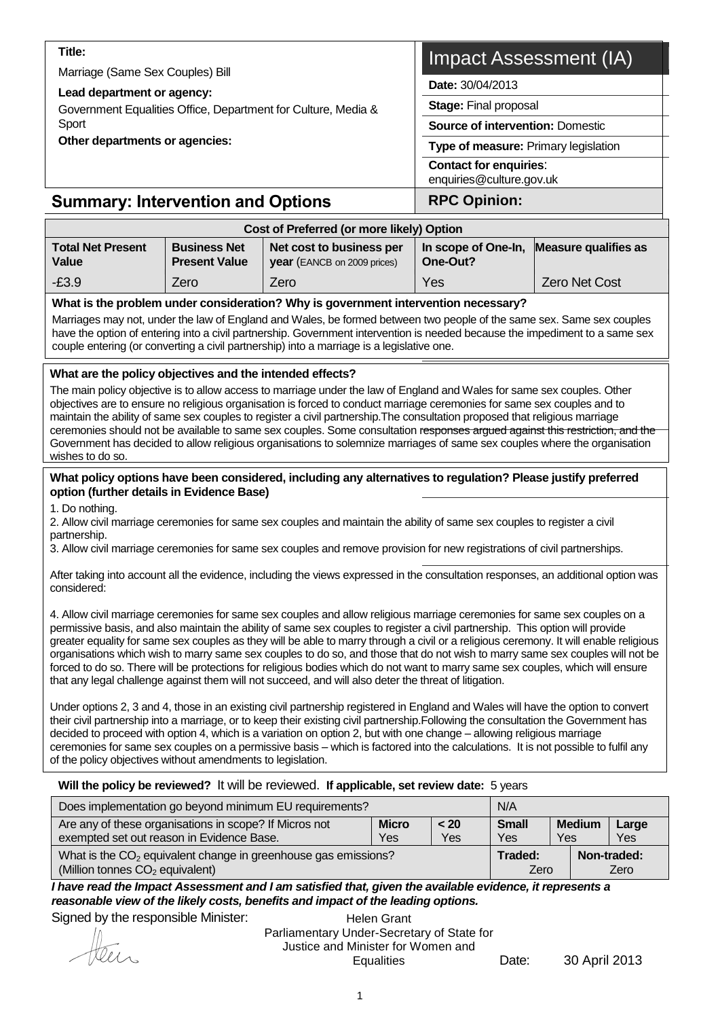| Title:                                                                                                                                                                                                                                                                                                                                             |                      | Impact Assessment (IA)                                    |  |  |  |  |  |  |
|----------------------------------------------------------------------------------------------------------------------------------------------------------------------------------------------------------------------------------------------------------------------------------------------------------------------------------------------------|----------------------|-----------------------------------------------------------|--|--|--|--|--|--|
| Marriage (Same Sex Couples) Bill                                                                                                                                                                                                                                                                                                                   |                      |                                                           |  |  |  |  |  |  |
| Lead department or agency:                                                                                                                                                                                                                                                                                                                         |                      | <b>Date: 30/04/2013</b>                                   |  |  |  |  |  |  |
| Government Equalities Office, Department for Culture, Media &                                                                                                                                                                                                                                                                                      |                      | <b>Stage: Final proposal</b>                              |  |  |  |  |  |  |
| Sport                                                                                                                                                                                                                                                                                                                                              |                      | <b>Source of intervention: Domestic</b>                   |  |  |  |  |  |  |
| Other departments or agencies:                                                                                                                                                                                                                                                                                                                     |                      | <b>Type of measure: Primary legislation</b>               |  |  |  |  |  |  |
|                                                                                                                                                                                                                                                                                                                                                    |                      | <b>Contact for enquiries:</b><br>enquiries@culture.gov.uk |  |  |  |  |  |  |
| <b>RPC Opinion:</b><br><b>Summary: Intervention and Options</b>                                                                                                                                                                                                                                                                                    |                      |                                                           |  |  |  |  |  |  |
| Cost of Preferred (or more likely) Option                                                                                                                                                                                                                                                                                                          |                      |                                                           |  |  |  |  |  |  |
| <b>Total Net Present</b><br><b>Business Net</b><br><b>Measure qualifies as</b><br>Net cost to business per<br>In scope of One-In,<br><b>Present Value</b><br>Value<br>year (EANCB on 2009 prices)<br>One-Out?                                                                                                                                      |                      |                                                           |  |  |  |  |  |  |
| $-E3.9$                                                                                                                                                                                                                                                                                                                                            | <b>Zero Net Cost</b> |                                                           |  |  |  |  |  |  |
| What is the problem under consideration? Why is government intervention necessary?                                                                                                                                                                                                                                                                 |                      |                                                           |  |  |  |  |  |  |
| Marriages may not, under the law of England and Wales, be formed between two people of the same sex. Same sex couples<br>have the option of entering into a civil partnership. Government intervention is needed because the impediment to a same sex<br>couple entering (or converting a civil partnership) into a marriage is a legislative one. |                      |                                                           |  |  |  |  |  |  |

#### **What are the policy objectives and the intended effects?**

The main policy objective is to allow access to marriage under the law of England and Wales for same sex couples. Other objectives are to ensure no religious organisation is forced to conduct marriage ceremonies for same sex couples and to maintain the ability of same sex couples to register a civil partnership.The consultation proposed that religious marriage ceremonies should not be available to same sex couples. Some consultation responses argued against this restriction, and the Government has decided to allow religious organisations to solemnize marriages of same sex couples where the organisation wishes to do so.

#### **What policy options have been considered, including any alternatives to regulation? Please justify preferred option (further details in Evidence Base)**

1. Do nothing.

2. Allow civil marriage ceremonies for same sex couples and maintain the ability of same sex couples to register a civil partnership.

3. Allow civil marriage ceremonies for same sex couples and remove provision for new registrations of civil partnerships.

After taking into account all the evidence, including the views expressed in the consultation responses, an additional option was considered:

4. Allow civil marriage ceremonies for same sex couples and allow religious marriage ceremonies for same sex couples on a permissive basis, and also maintain the ability of same sex couples to register a civil partnership. This option will provide greater equality for same sex couples as they will be able to marry through a civil or a religious ceremony. It will enable religious organisations which wish to marry same sex couples to do so, and those that do not wish to marry same sex couples will not be forced to do so. There will be protections for religious bodies which do not want to marry same sex couples, which will ensure that any legal challenge against them will not succeed, and will also deter the threat of litigation.

Under options 2, 3 and 4, those in an existing civil partnership registered in England and Wales will have the option to convert their civil partnership into a marriage, or to keep their existing civil partnership.Following the consultation the Government has decided to proceed with option 4, which is a variation on option 2, but with one change – allowing religious marriage ceremonies for same sex couples on a permissive basis – which is factored into the calculations. It is not possible to fulfil any of the policy objectives without amendments to legislation.

#### **Will the policy be reviewed?** It will be reviewed. **If applicable, set review date:** 5 years

| Does implementation go beyond minimum EU requirements?                                                | N/A                 |                                      |                     |
|-------------------------------------------------------------------------------------------------------|---------------------|--------------------------------------|---------------------|
| Are any of these organisations in scope? If Micros not<br>exempted set out reason in Evidence Base.   | <b>Small</b><br>Yes | <b>Medium</b><br>Large<br>Yes<br>Yes |                     |
| What is the $CO2$ equivalent change in greenhouse gas emissions?<br>(Million tonnes $CO2$ equivalent) | Traded:<br>Zero     |                                      | Non-traded:<br>Zero |

*I have read the Impact Assessment and I am satisfied that, given the available evidence, it represents a reasonable view of the likely costs, benefits and impact of the leading options.*

Signed by the responsible Minister:

Helen Grant Parliamentary Under-Secretary of State for Justice and Minister for Women and Equalities Date: 30 April 2013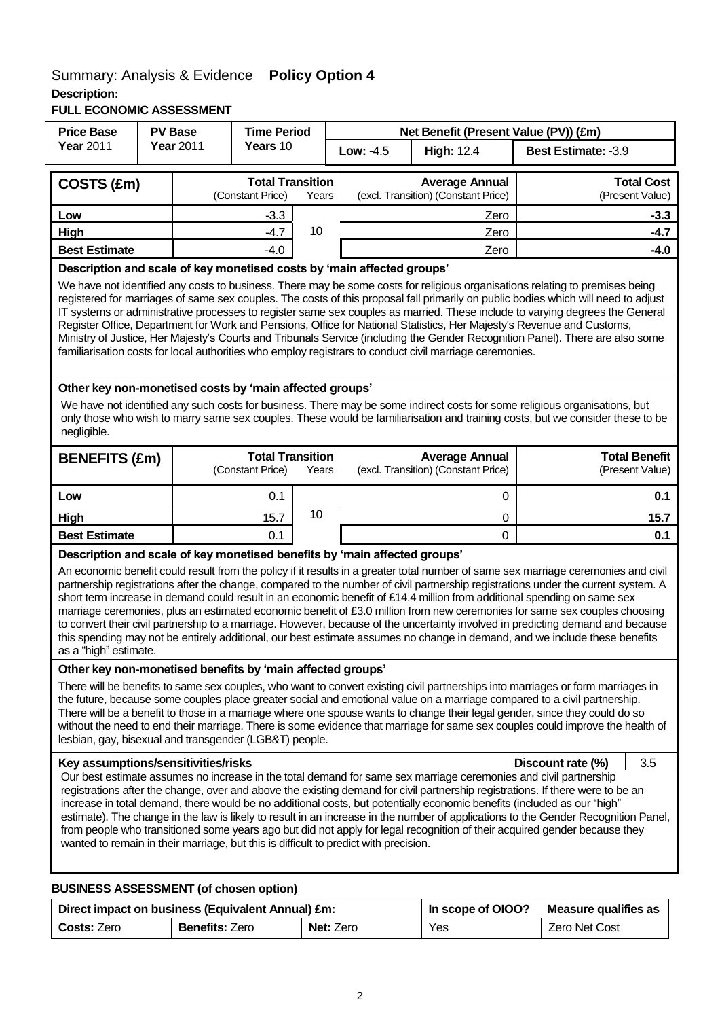## Summary: Analysis & Evidence **Policy Option 4 Description:**

**FULL ECONOMIC ASSESSMENT**

| <b>Year 2011</b><br><b>Year 2011</b><br>Years 10<br>Low: -4.5<br>Best Estimate: -3.9<br><b>High: 12.4</b><br><b>Total Transition</b><br><b>Average Annual</b><br>COSTS (£m)<br>(excl. Transition) (Constant Price)<br>(Constant Price)<br>(Present Value)<br>Years<br>Low<br>$-3.3$<br>Zero<br>10<br>High<br>$-4.7$<br>Zero<br><b>Best Estimate</b><br>$-4.0$<br>Zero<br>Description and scale of key monetised costs by 'main affected groups'<br>Register Office, Department for Work and Pensions, Office for National Statistics, Her Majesty's Revenue and Customs,<br>familiarisation costs for local authorities who employ registrars to conduct civil marriage ceremonies.<br>Other key non-monetised costs by 'main affected groups'<br>We have not identified any such costs for business. There may be some indirect costs for some religious organisations, but<br>negligible.<br><b>Total Transition</b><br><b>Average Annual</b><br><b>Total Benefit</b><br><b>BENEFITS (£m)</b><br>(excl. Transition) (Constant Price)<br>(Constant Price)<br>Years<br>(Present Value)<br>0.1<br>0<br>Low<br>10<br>High<br>15.7<br>0<br>0.1<br>0<br><b>Best Estimate</b><br>Description and scale of key monetised benefits by 'main affected groups'<br>short term increase in demand could result in an economic benefit of £14.4 million from additional spending on same sex<br>as a "high" estimate.<br>Other key non-monetised benefits by 'main affected groups'<br>There will be benefits to same sex couples, who want to convert existing civil partnerships into marriages or form marriages in<br>the future, because some couples place greater social and emotional value on a marriage compared to a civil partnership. | <b>Price Base</b>                                                                                                                                                                                                                                                                                                                                                                                                                                                                                                                                                                                                                                                     | <b>Time Period</b><br><b>PV Base</b><br>Net Benefit (Present Value (PV)) (£m) |  |  |  |  |     |  |        |        |                   |
|----------------------------------------------------------------------------------------------------------------------------------------------------------------------------------------------------------------------------------------------------------------------------------------------------------------------------------------------------------------------------------------------------------------------------------------------------------------------------------------------------------------------------------------------------------------------------------------------------------------------------------------------------------------------------------------------------------------------------------------------------------------------------------------------------------------------------------------------------------------------------------------------------------------------------------------------------------------------------------------------------------------------------------------------------------------------------------------------------------------------------------------------------------------------------------------------------------------------------------------------------------------------------------------------------------------------------------------------------------------------------------------------------------------------------------------------------------------------------------------------------------------------------------------------------------------------------------------------------------------------------------------------------------------------------------------------------------------------------------------|-----------------------------------------------------------------------------------------------------------------------------------------------------------------------------------------------------------------------------------------------------------------------------------------------------------------------------------------------------------------------------------------------------------------------------------------------------------------------------------------------------------------------------------------------------------------------------------------------------------------------------------------------------------------------|-------------------------------------------------------------------------------|--|--|--|--|-----|--|--------|--------|-------------------|
|                                                                                                                                                                                                                                                                                                                                                                                                                                                                                                                                                                                                                                                                                                                                                                                                                                                                                                                                                                                                                                                                                                                                                                                                                                                                                                                                                                                                                                                                                                                                                                                                                                                                                                                                        |                                                                                                                                                                                                                                                                                                                                                                                                                                                                                                                                                                                                                                                                       |                                                                               |  |  |  |  |     |  |        |        |                   |
|                                                                                                                                                                                                                                                                                                                                                                                                                                                                                                                                                                                                                                                                                                                                                                                                                                                                                                                                                                                                                                                                                                                                                                                                                                                                                                                                                                                                                                                                                                                                                                                                                                                                                                                                        |                                                                                                                                                                                                                                                                                                                                                                                                                                                                                                                                                                                                                                                                       |                                                                               |  |  |  |  |     |  |        |        | <b>Total Cost</b> |
|                                                                                                                                                                                                                                                                                                                                                                                                                                                                                                                                                                                                                                                                                                                                                                                                                                                                                                                                                                                                                                                                                                                                                                                                                                                                                                                                                                                                                                                                                                                                                                                                                                                                                                                                        |                                                                                                                                                                                                                                                                                                                                                                                                                                                                                                                                                                                                                                                                       |                                                                               |  |  |  |  |     |  |        | $-3.3$ |                   |
|                                                                                                                                                                                                                                                                                                                                                                                                                                                                                                                                                                                                                                                                                                                                                                                                                                                                                                                                                                                                                                                                                                                                                                                                                                                                                                                                                                                                                                                                                                                                                                                                                                                                                                                                        |                                                                                                                                                                                                                                                                                                                                                                                                                                                                                                                                                                                                                                                                       |                                                                               |  |  |  |  |     |  | $-4.7$ |        |                   |
|                                                                                                                                                                                                                                                                                                                                                                                                                                                                                                                                                                                                                                                                                                                                                                                                                                                                                                                                                                                                                                                                                                                                                                                                                                                                                                                                                                                                                                                                                                                                                                                                                                                                                                                                        |                                                                                                                                                                                                                                                                                                                                                                                                                                                                                                                                                                                                                                                                       |                                                                               |  |  |  |  |     |  |        | $-4.0$ |                   |
|                                                                                                                                                                                                                                                                                                                                                                                                                                                                                                                                                                                                                                                                                                                                                                                                                                                                                                                                                                                                                                                                                                                                                                                                                                                                                                                                                                                                                                                                                                                                                                                                                                                                                                                                        | We have not identified any costs to business. There may be some costs for religious organisations relating to premises being<br>registered for marriages of same sex couples. The costs of this proposal fall primarily on public bodies which will need to adjust<br>IT systems or administrative processes to register same sex couples as married. These include to varying degrees the General<br>Ministry of Justice, Her Majesty's Courts and Tribunals Service (including the Gender Recognition Panel). There are also some                                                                                                                                   |                                                                               |  |  |  |  |     |  |        |        |                   |
|                                                                                                                                                                                                                                                                                                                                                                                                                                                                                                                                                                                                                                                                                                                                                                                                                                                                                                                                                                                                                                                                                                                                                                                                                                                                                                                                                                                                                                                                                                                                                                                                                                                                                                                                        | only those who wish to marry same sex couples. These would be familiarisation and training costs, but we consider these to be                                                                                                                                                                                                                                                                                                                                                                                                                                                                                                                                         |                                                                               |  |  |  |  |     |  |        |        |                   |
|                                                                                                                                                                                                                                                                                                                                                                                                                                                                                                                                                                                                                                                                                                                                                                                                                                                                                                                                                                                                                                                                                                                                                                                                                                                                                                                                                                                                                                                                                                                                                                                                                                                                                                                                        |                                                                                                                                                                                                                                                                                                                                                                                                                                                                                                                                                                                                                                                                       |                                                                               |  |  |  |  |     |  |        |        |                   |
|                                                                                                                                                                                                                                                                                                                                                                                                                                                                                                                                                                                                                                                                                                                                                                                                                                                                                                                                                                                                                                                                                                                                                                                                                                                                                                                                                                                                                                                                                                                                                                                                                                                                                                                                        |                                                                                                                                                                                                                                                                                                                                                                                                                                                                                                                                                                                                                                                                       |                                                                               |  |  |  |  | 0.1 |  |        |        |                   |
|                                                                                                                                                                                                                                                                                                                                                                                                                                                                                                                                                                                                                                                                                                                                                                                                                                                                                                                                                                                                                                                                                                                                                                                                                                                                                                                                                                                                                                                                                                                                                                                                                                                                                                                                        |                                                                                                                                                                                                                                                                                                                                                                                                                                                                                                                                                                                                                                                                       |                                                                               |  |  |  |  |     |  |        |        | 15.7              |
|                                                                                                                                                                                                                                                                                                                                                                                                                                                                                                                                                                                                                                                                                                                                                                                                                                                                                                                                                                                                                                                                                                                                                                                                                                                                                                                                                                                                                                                                                                                                                                                                                                                                                                                                        |                                                                                                                                                                                                                                                                                                                                                                                                                                                                                                                                                                                                                                                                       |                                                                               |  |  |  |  |     |  |        |        | 0.1               |
|                                                                                                                                                                                                                                                                                                                                                                                                                                                                                                                                                                                                                                                                                                                                                                                                                                                                                                                                                                                                                                                                                                                                                                                                                                                                                                                                                                                                                                                                                                                                                                                                                                                                                                                                        | An economic benefit could result from the policy if it results in a greater total number of same sex marriage ceremonies and civil<br>partnership registrations after the change, compared to the number of civil partnership registrations under the current system. A<br>marriage ceremonies, plus an estimated economic benefit of £3.0 million from new ceremonies for same sex couples choosing<br>to convert their civil partnership to a marriage. However, because of the uncertainty involved in predicting demand and because<br>this spending may not be entirely additional, our best estimate assumes no change in demand, and we include these benefits |                                                                               |  |  |  |  |     |  |        |        |                   |
| There will be a benefit to those in a marriage where one spouse wants to change their legal gender, since they could do so<br>without the need to end their marriage. There is some evidence that marriage for same sex couples could improve the health of<br>lesbian, gay, bisexual and transgender (LGB&T) people.                                                                                                                                                                                                                                                                                                                                                                                                                                                                                                                                                                                                                                                                                                                                                                                                                                                                                                                                                                                                                                                                                                                                                                                                                                                                                                                                                                                                                  |                                                                                                                                                                                                                                                                                                                                                                                                                                                                                                                                                                                                                                                                       |                                                                               |  |  |  |  |     |  |        |        |                   |
| 3.5<br>Key assumptions/sensitivities/risks<br>Discount rate (%)<br>Our best estimate assumes no increase in the total demand for same sex marriage ceremonies and civil partnership<br>registrations after the change, over and above the existing demand for civil partnership registrations. If there were to be an<br>increase in total demand, there would be no additional costs, but potentially economic benefits (included as our "high"<br>estimate). The change in the law is likely to result in an increase in the number of applications to the Gender Recognition Panel,<br>from people who transitioned some years ago but did not apply for legal recognition of their acquired gender because they<br>wanted to remain in their marriage, but this is difficult to predict with precision.<br><b>BUSINESS ASSESSMENT (of chosen option)</b>                                                                                                                                                                                                                                                                                                                                                                                                                                                                                                                                                                                                                                                                                                                                                                                                                                                                           |                                                                                                                                                                                                                                                                                                                                                                                                                                                                                                                                                                                                                                                                       |                                                                               |  |  |  |  |     |  |        |        |                   |

|                    | Direct impact on business (Equivalent Annual) £m: | In scope of OIOO? | Measure qualifies as |               |
|--------------------|---------------------------------------------------|-------------------|----------------------|---------------|
| <b>Costs: Zero</b> | <b>Benefits: Zero</b>                             | <b>Net: Zero</b>  | Yes                  | Zero Net Cost |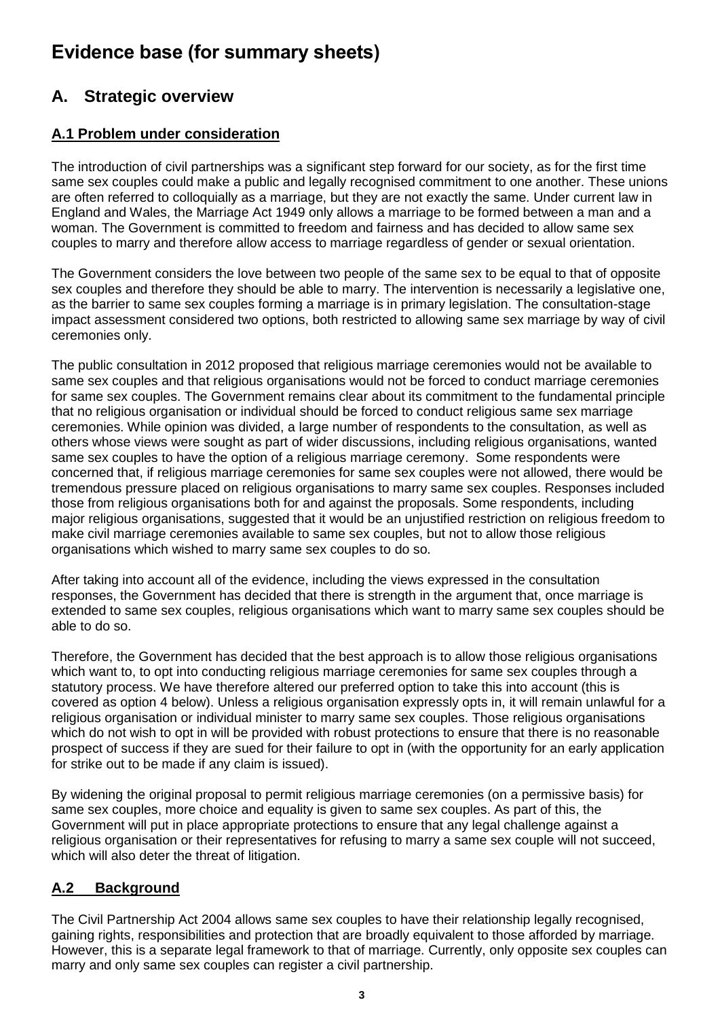# **Evidence base (for summary sheets)**

# **A. Strategic overview**

## **A.1 Problem under consideration**

The introduction of civil partnerships was a significant step forward for our society, as for the first time same sex couples could make a public and legally recognised commitment to one another. These unions are often referred to colloquially as a marriage, but they are not exactly the same. Under current law in England and Wales, the Marriage Act 1949 only allows a marriage to be formed between a man and a woman. The Government is committed to freedom and fairness and has decided to allow same sex couples to marry and therefore allow access to marriage regardless of gender or sexual orientation.

The Government considers the love between two people of the same sex to be equal to that of opposite sex couples and therefore they should be able to marry. The intervention is necessarily a legislative one, as the barrier to same sex couples forming a marriage is in primary legislation. The consultation-stage impact assessment considered two options, both restricted to allowing same sex marriage by way of civil ceremonies only.

The public consultation in 2012 proposed that religious marriage ceremonies would not be available to same sex couples and that religious organisations would not be forced to conduct marriage ceremonies for same sex couples. The Government remains clear about its commitment to the fundamental principle that no religious organisation or individual should be forced to conduct religious same sex marriage ceremonies. While opinion was divided, a large number of respondents to the consultation, as well as others whose views were sought as part of wider discussions, including religious organisations, wanted same sex couples to have the option of a religious marriage ceremony. Some respondents were concerned that, if religious marriage ceremonies for same sex couples were not allowed, there would be tremendous pressure placed on religious organisations to marry same sex couples. Responses included those from religious organisations both for and against the proposals. Some respondents, including major religious organisations, suggested that it would be an unjustified restriction on religious freedom to make civil marriage ceremonies available to same sex couples, but not to allow those religious organisations which wished to marry same sex couples to do so.

After taking into account all of the evidence, including the views expressed in the consultation responses, the Government has decided that there is strength in the argument that, once marriage is extended to same sex couples, religious organisations which want to marry same sex couples should be able to do so.

Therefore, the Government has decided that the best approach is to allow those religious organisations which want to, to opt into conducting religious marriage ceremonies for same sex couples through a statutory process. We have therefore altered our preferred option to take this into account (this is covered as option 4 below). Unless a religious organisation expressly opts in, it will remain unlawful for a religious organisation or individual minister to marry same sex couples. Those religious organisations which do not wish to opt in will be provided with robust protections to ensure that there is no reasonable prospect of success if they are sued for their failure to opt in (with the opportunity for an early application for strike out to be made if any claim is issued).

By widening the original proposal to permit religious marriage ceremonies (on a permissive basis) for same sex couples, more choice and equality is given to same sex couples. As part of this, the Government will put in place appropriate protections to ensure that any legal challenge against a religious organisation or their representatives for refusing to marry a same sex couple will not succeed, which will also deter the threat of litigation.

## **A.2 Background**

The Civil Partnership Act 2004 allows same sex couples to have their relationship legally recognised, gaining rights, responsibilities and protection that are broadly equivalent to those afforded by marriage. However, this is a separate legal framework to that of marriage. Currently, only opposite sex couples can marry and only same sex couples can register a civil partnership.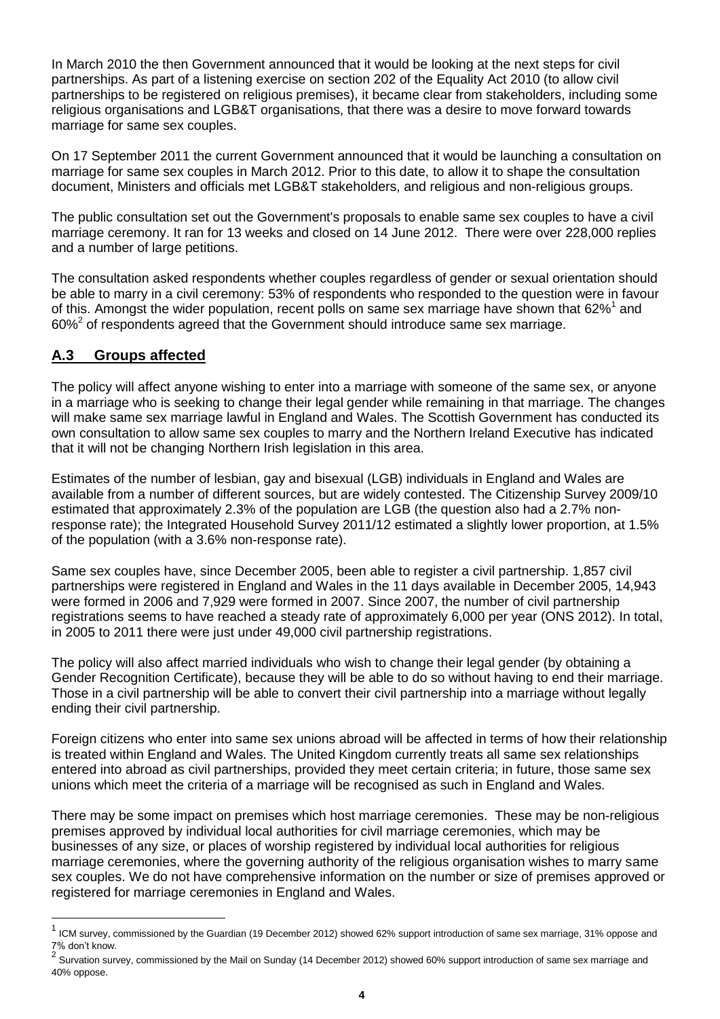In March 2010 the then Government announced that it would be looking at the next steps for civil partnerships. As part of a listening exercise on section 202 of the Equality Act 2010 (to allow civil partnerships to be registered on religious premises), it became clear from stakeholders, including some religious organisations and LGB&T organisations, that there was a desire to move forward towards marriage for same sex couples.

On 17 September 2011 the current Government announced that it would be launching a consultation on marriage for same sex couples in March 2012. Prior to this date, to allow it to shape the consultation document, Ministers and officials met LGB&T stakeholders, and religious and non-religious groups.

The public consultation set out the Government's proposals to enable same sex couples to have a civil marriage ceremony. It ran for 13 weeks and closed on 14 June 2012. There were over 228,000 replies and a number of large petitions.

The consultation asked respondents whether couples regardless of gender or sexual orientation should be able to marry in a civil ceremony: 53% of respondents who responded to the question were in favour of this. Amongst the wider population, recent polls on same sex marriage have shown that 62%<sup>1</sup> and  $60\%$ <sup>2</sup> of respondents agreed that the Government should introduce same sex marriage.

## **A.3 Groups affected**

l

The policy will affect anyone wishing to enter into a marriage with someone of the same sex, or anyone in a marriage who is seeking to change their legal gender while remaining in that marriage. The changes will make same sex marriage lawful in England and Wales. The Scottish Government has conducted its own consultation to allow same sex couples to marry and the Northern Ireland Executive has indicated that it will not be changing Northern Irish legislation in this area.

Estimates of the number of lesbian, gay and bisexual (LGB) individuals in England and Wales are available from a number of different sources, but are widely contested. The Citizenship Survey 2009/10 estimated that approximately 2.3% of the population are LGB (the question also had a 2.7% nonresponse rate); the Integrated Household Survey 2011/12 estimated a slightly lower proportion, at 1.5% of the population (with a 3.6% non-response rate).

Same sex couples have, since December 2005, been able to register a civil partnership. 1,857 civil partnerships were registered in England and Wales in the 11 days available in December 2005, 14,943 were formed in 2006 and 7,929 were formed in 2007. Since 2007, the number of civil partnership registrations seems to have reached a steady rate of approximately 6,000 per year (ONS 2012). In total, in 2005 to 2011 there were just under 49,000 civil partnership registrations.

The policy will also affect married individuals who wish to change their legal gender (by obtaining a Gender Recognition Certificate), because they will be able to do so without having to end their marriage. Those in a civil partnership will be able to convert their civil partnership into a marriage without legally ending their civil partnership.

Foreign citizens who enter into same sex unions abroad will be affected in terms of how their relationship is treated within England and Wales. The United Kingdom currently treats all same sex relationships entered into abroad as civil partnerships, provided they meet certain criteria; in future, those same sex unions which meet the criteria of a marriage will be recognised as such in England and Wales.

There may be some impact on premises which host marriage ceremonies. These may be non-religious premises approved by individual local authorities for civil marriage ceremonies, which may be businesses of any size, or places of worship registered by individual local authorities for religious marriage ceremonies, where the governing authority of the religious organisation wishes to marry same sex couples. We do not have comprehensive information on the number or size of premises approved or registered for marriage ceremonies in England and Wales.

<sup>1</sup> ICM survey, commissioned by the Guardian (19 December 2012) showed 62% support introduction of same sex marriage, 31% oppose and 7% don"t know.

 $^2$  Survation survey, commissioned by the Mail on Sunday (14 December 2012) showed 60% support introduction of same sex marriage and 40% oppose.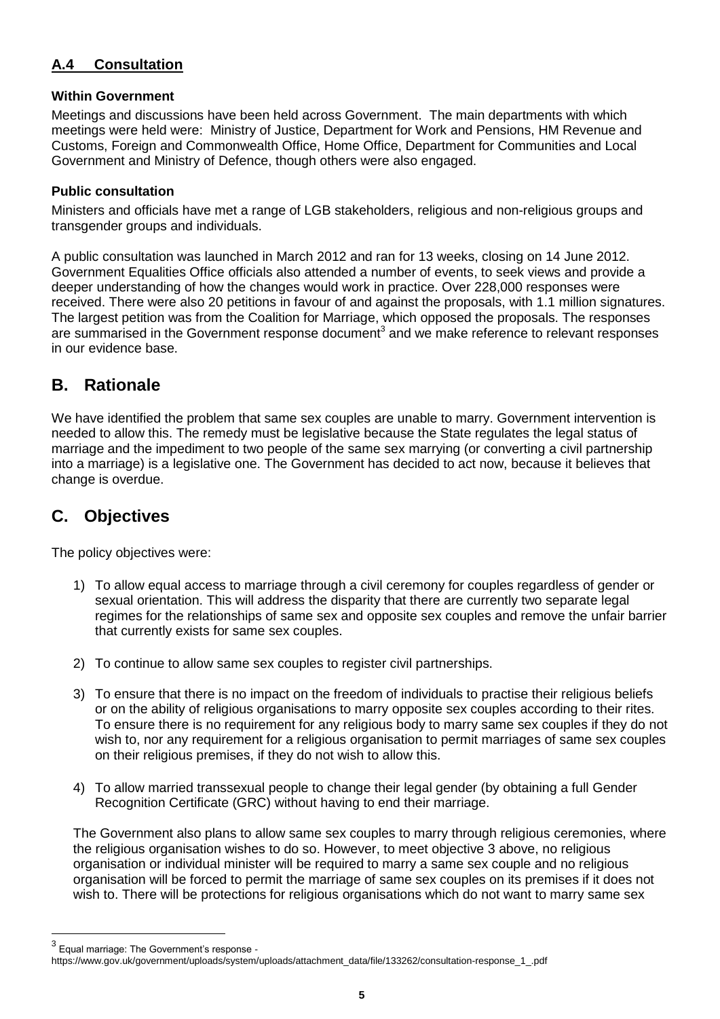## **A.4 Consultation**

## **Within Government**

Meetings and discussions have been held across Government. The main departments with which meetings were held were: Ministry of Justice, Department for Work and Pensions, HM Revenue and Customs, Foreign and Commonwealth Office, Home Office, Department for Communities and Local Government and Ministry of Defence, though others were also engaged.

## **Public consultation**

Ministers and officials have met a range of LGB stakeholders, religious and non-religious groups and transgender groups and individuals.

A public consultation was launched in March 2012 and ran for 13 weeks, closing on 14 June 2012. Government Equalities Office officials also attended a number of events, to seek views and provide a deeper understanding of how the changes would work in practice. Over 228,000 responses were received. There were also 20 petitions in favour of and against the proposals, with 1.1 million signatures. The largest petition was from the Coalition for Marriage, which opposed the proposals. The responses are summarised in the Government response document<sup>3</sup> and we make reference to relevant responses in our evidence base.

## **B. Rationale**

We have identified the problem that same sex couples are unable to marry. Government intervention is needed to allow this. The remedy must be legislative because the State regulates the legal status of marriage and the impediment to two people of the same sex marrying (or converting a civil partnership into a marriage) is a legislative one. The Government has decided to act now, because it believes that change is overdue.

## **C. Objectives**

The policy objectives were:

- 1) To allow equal access to marriage through a civil ceremony for couples regardless of gender or sexual orientation. This will address the disparity that there are currently two separate legal regimes for the relationships of same sex and opposite sex couples and remove the unfair barrier that currently exists for same sex couples.
- 2) To continue to allow same sex couples to register civil partnerships.
- 3) To ensure that there is no impact on the freedom of individuals to practise their religious beliefs or on the ability of religious organisations to marry opposite sex couples according to their rites. To ensure there is no requirement for any religious body to marry same sex couples if they do not wish to, nor any requirement for a religious organisation to permit marriages of same sex couples on their religious premises, if they do not wish to allow this.
- 4) To allow married transsexual people to change their legal gender (by obtaining a full Gender Recognition Certificate (GRC) without having to end their marriage.

The Government also plans to allow same sex couples to marry through religious ceremonies, where the religious organisation wishes to do so. However, to meet objective 3 above, no religious organisation or individual minister will be required to marry a same sex couple and no religious organisation will be forced to permit the marriage of same sex couples on its premises if it does not wish to. There will be protections for religious organisations which do not want to marry same sex

l

 $3$  Equal marriage: The Government's response -

https://www.gov.uk/government/uploads/system/uploads/attachment\_data/file/133262/consultation-response\_1\_.pdf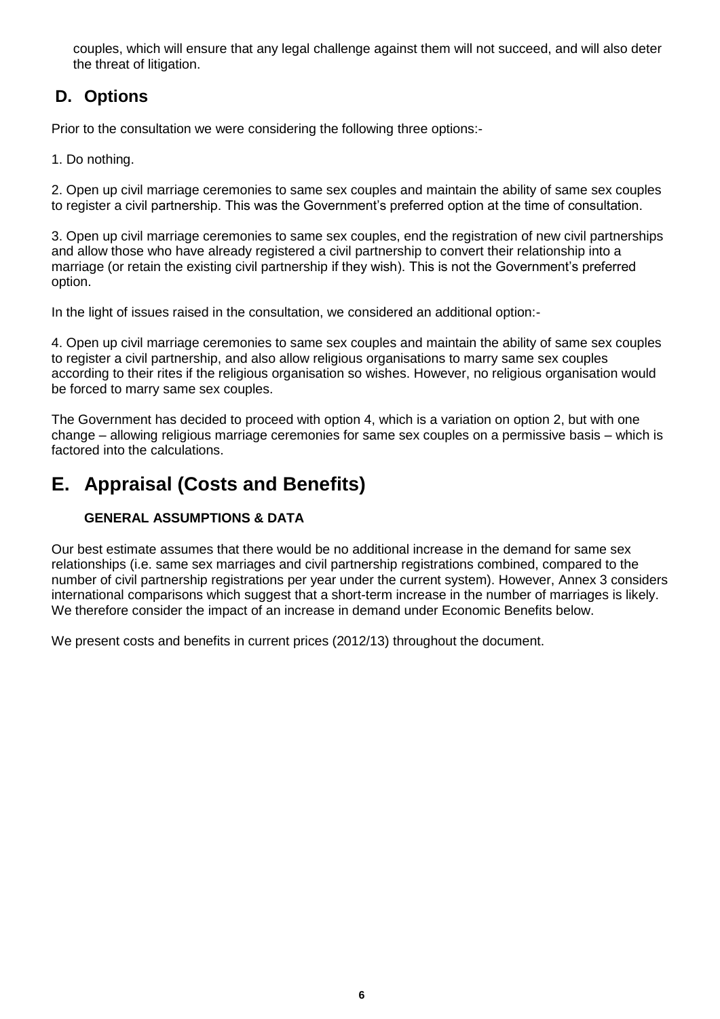couples, which will ensure that any legal challenge against them will not succeed, and will also deter the threat of litigation.

# **D. Options**

Prior to the consultation we were considering the following three options:-

1. Do nothing.

2. Open up civil marriage ceremonies to same sex couples and maintain the ability of same sex couples to register a civil partnership. This was the Government"s preferred option at the time of consultation.

3. Open up civil marriage ceremonies to same sex couples, end the registration of new civil partnerships and allow those who have already registered a civil partnership to convert their relationship into a marriage (or retain the existing civil partnership if they wish). This is not the Government"s preferred option.

In the light of issues raised in the consultation, we considered an additional option:-

4. Open up civil marriage ceremonies to same sex couples and maintain the ability of same sex couples to register a civil partnership, and also allow religious organisations to marry same sex couples according to their rites if the religious organisation so wishes. However, no religious organisation would be forced to marry same sex couples.

The Government has decided to proceed with option 4, which is a variation on option 2, but with one change – allowing religious marriage ceremonies for same sex couples on a permissive basis – which is factored into the calculations.

# **E. Appraisal (Costs and Benefits)**

## **GENERAL ASSUMPTIONS & DATA**

Our best estimate assumes that there would be no additional increase in the demand for same sex relationships (i.e. same sex marriages and civil partnership registrations combined, compared to the number of civil partnership registrations per year under the current system). However, Annex 3 considers international comparisons which suggest that a short-term increase in the number of marriages is likely. We therefore consider the impact of an increase in demand under Economic Benefits below.

We present costs and benefits in current prices (2012/13) throughout the document.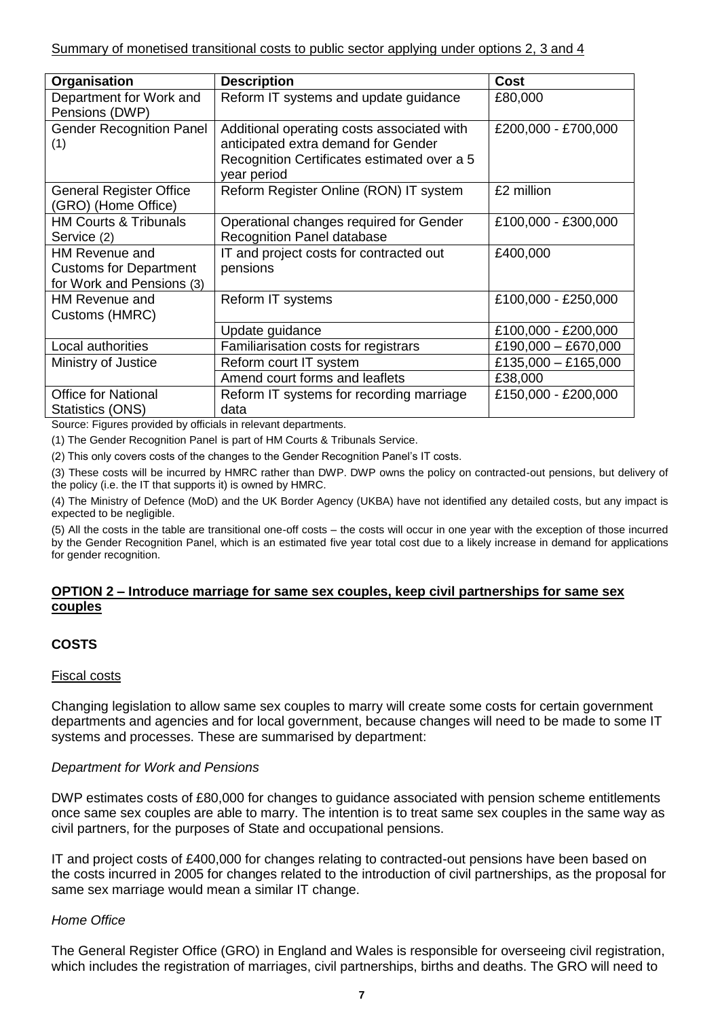| <b>Description</b>                                                                                                                              | <b>Cost</b>                                           |
|-------------------------------------------------------------------------------------------------------------------------------------------------|-------------------------------------------------------|
| Reform IT systems and update guidance                                                                                                           | £80,000                                               |
| Additional operating costs associated with<br>anticipated extra demand for Gender<br>Recognition Certificates estimated over a 5<br>year period | £200,000 - £700,000                                   |
| Reform Register Online (RON) IT system                                                                                                          | £2 million                                            |
| Operational changes required for Gender<br>Recognition Panel database                                                                           | £100,000 - £300,000                                   |
| IT and project costs for contracted out<br>pensions                                                                                             | £400,000                                              |
| Reform IT systems                                                                                                                               | £100,000 - £250,000                                   |
| Update guidance                                                                                                                                 | £100,000 - £200,000                                   |
| Familiarisation costs for registrars                                                                                                            | £190,000 - £670,000                                   |
| Reform court IT system                                                                                                                          | £135,000 - £165,000                                   |
| Amend court forms and leaflets                                                                                                                  | £38,000                                               |
| Reform IT systems for recording marriage<br>data                                                                                                | £150,000 - £200,000                                   |
|                                                                                                                                                 | ACCORDING the construction of the construction of the |

Source: Figures provided by officials in relevant departments.

(1) The Gender Recognition Panel is part of HM Courts & Tribunals Service.

(2) This only covers costs of the changes to the Gender Recognition Panel"s IT costs.

(3) These costs will be incurred by HMRC rather than DWP. DWP owns the policy on contracted-out pensions, but delivery of the policy (i.e. the IT that supports it) is owned by HMRC.

(4) The Ministry of Defence (MoD) and the UK Border Agency (UKBA) have not identified any detailed costs, but any impact is expected to be negligible.

(5) All the costs in the table are transitional one-off costs – the costs will occur in one year with the exception of those incurred by the Gender Recognition Panel, which is an estimated five year total cost due to a likely increase in demand for applications for gender recognition.

#### **OPTION 2 – Introduce marriage for same sex couples, keep civil partnerships for same sex couples**

## **COSTS**

#### Fiscal costs

Changing legislation to allow same sex couples to marry will create some costs for certain government departments and agencies and for local government, because changes will need to be made to some IT systems and processes. These are summarised by department:

## *Department for Work and Pensions*

DWP estimates costs of £80,000 for changes to guidance associated with pension scheme entitlements once same sex couples are able to marry. The intention is to treat same sex couples in the same way as civil partners, for the purposes of State and occupational pensions.

IT and project costs of £400,000 for changes relating to contracted-out pensions have been based on the costs incurred in 2005 for changes related to the introduction of civil partnerships, as the proposal for same sex marriage would mean a similar IT change.

## *Home Office*

The General Register Office (GRO) in England and Wales is responsible for overseeing civil registration, which includes the registration of marriages, civil partnerships, births and deaths. The GRO will need to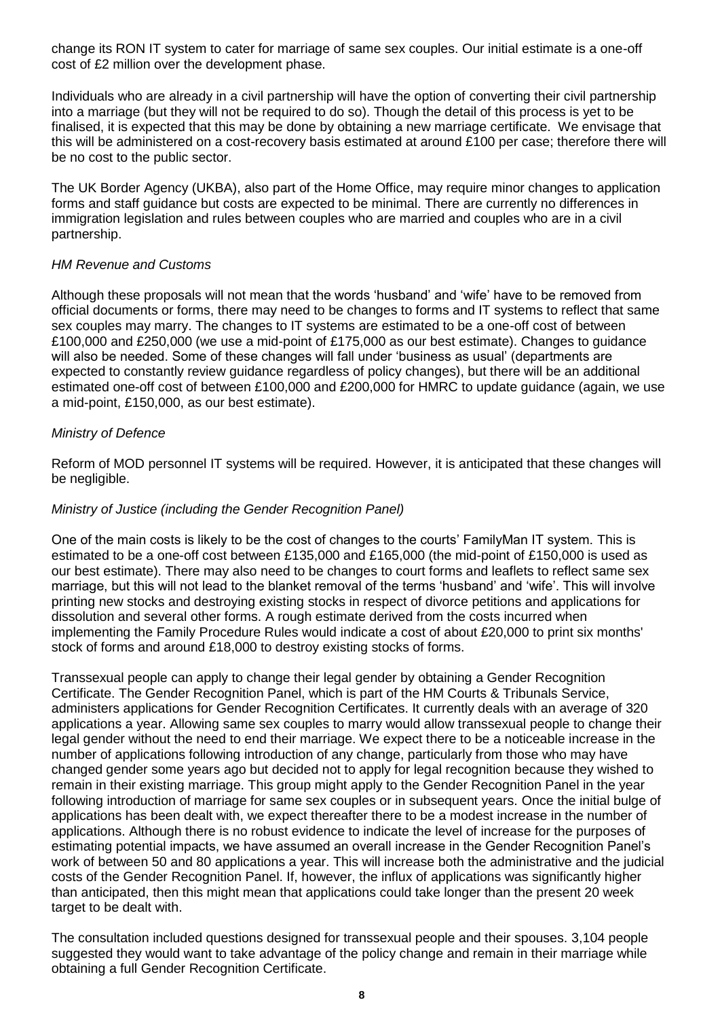change its RON IT system to cater for marriage of same sex couples. Our initial estimate is a one-off cost of £2 million over the development phase.

Individuals who are already in a civil partnership will have the option of converting their civil partnership into a marriage (but they will not be required to do so). Though the detail of this process is yet to be finalised, it is expected that this may be done by obtaining a new marriage certificate. We envisage that this will be administered on a cost-recovery basis estimated at around £100 per case; therefore there will be no cost to the public sector.

The UK Border Agency (UKBA), also part of the Home Office, may require minor changes to application forms and staff guidance but costs are expected to be minimal. There are currently no differences in immigration legislation and rules between couples who are married and couples who are in a civil partnership.

#### *HM Revenue and Customs*

Although these proposals will not mean that the words "husband" and "wife" have to be removed from official documents or forms, there may need to be changes to forms and IT systems to reflect that same sex couples may marry. The changes to IT systems are estimated to be a one-off cost of between £100,000 and £250,000 (we use a mid-point of £175,000 as our best estimate). Changes to guidance will also be needed. Some of these changes will fall under "business as usual" (departments are expected to constantly review guidance regardless of policy changes), but there will be an additional estimated one-off cost of between £100,000 and £200,000 for HMRC to update guidance (again, we use a mid-point, £150,000, as our best estimate).

## *Ministry of Defence*

Reform of MOD personnel IT systems will be required. However, it is anticipated that these changes will be negligible.

#### *Ministry of Justice (including the Gender Recognition Panel)*

One of the main costs is likely to be the cost of changes to the courts" FamilyMan IT system. This is estimated to be a one-off cost between £135,000 and £165,000 (the mid-point of £150,000 is used as our best estimate). There may also need to be changes to court forms and leaflets to reflect same sex marriage, but this will not lead to the blanket removal of the terms "husband" and "wife". This will involve printing new stocks and destroying existing stocks in respect of divorce petitions and applications for dissolution and several other forms. A rough estimate derived from the costs incurred when implementing the Family Procedure Rules would indicate a cost of about £20,000 to print six months' stock of forms and around £18,000 to destroy existing stocks of forms.

Transsexual people can apply to change their legal gender by obtaining a Gender Recognition Certificate. The Gender Recognition Panel, which is part of the HM Courts & Tribunals Service, administers applications for Gender Recognition Certificates. It currently deals with an average of 320 applications a year. Allowing same sex couples to marry would allow transsexual people to change their legal gender without the need to end their marriage. We expect there to be a noticeable increase in the number of applications following introduction of any change, particularly from those who may have changed gender some years ago but decided not to apply for legal recognition because they wished to remain in their existing marriage. This group might apply to the Gender Recognition Panel in the year following introduction of marriage for same sex couples or in subsequent years. Once the initial bulge of applications has been dealt with, we expect thereafter there to be a modest increase in the number of applications. Although there is no robust evidence to indicate the level of increase for the purposes of estimating potential impacts, we have assumed an overall increase in the Gender Recognition Panel"s work of between 50 and 80 applications a year. This will increase both the administrative and the judicial costs of the Gender Recognition Panel. If, however, the influx of applications was significantly higher than anticipated, then this might mean that applications could take longer than the present 20 week target to be dealt with.

The consultation included questions designed for transsexual people and their spouses. 3,104 people suggested they would want to take advantage of the policy change and remain in their marriage while obtaining a full Gender Recognition Certificate.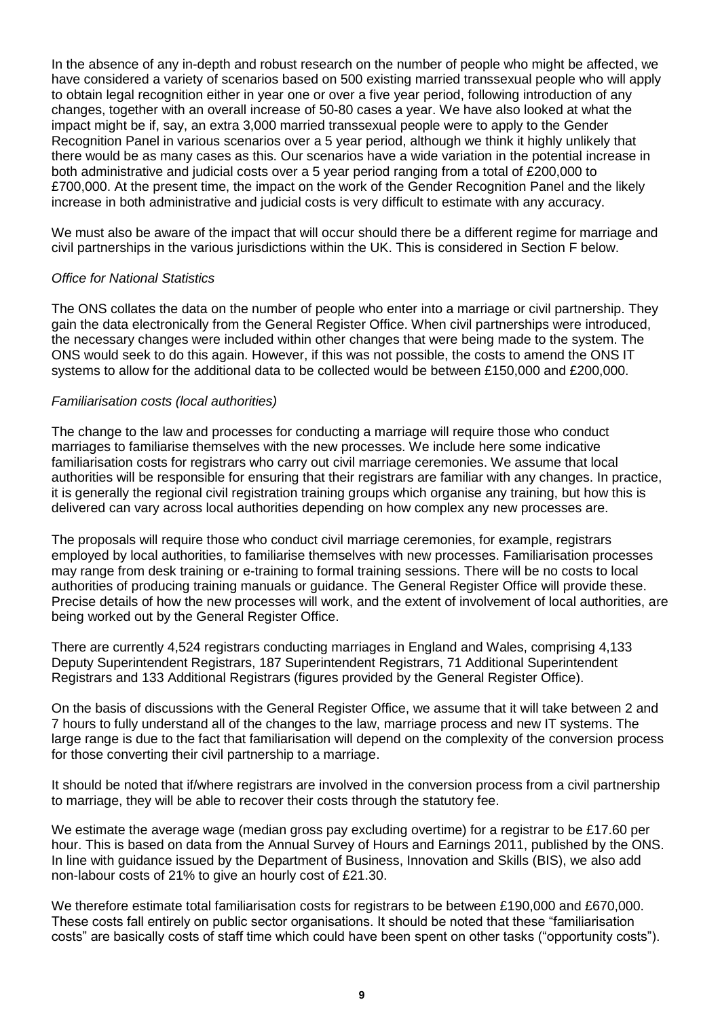In the absence of any in-depth and robust research on the number of people who might be affected, we have considered a variety of scenarios based on 500 existing married transsexual people who will apply to obtain legal recognition either in year one or over a five year period, following introduction of any changes, together with an overall increase of 50-80 cases a year. We have also looked at what the impact might be if, say, an extra 3,000 married transsexual people were to apply to the Gender Recognition Panel in various scenarios over a 5 year period, although we think it highly unlikely that there would be as many cases as this. Our scenarios have a wide variation in the potential increase in both administrative and judicial costs over a 5 year period ranging from a total of £200,000 to £700,000. At the present time, the impact on the work of the Gender Recognition Panel and the likely increase in both administrative and judicial costs is very difficult to estimate with any accuracy.

We must also be aware of the impact that will occur should there be a different regime for marriage and civil partnerships in the various jurisdictions within the UK. This is considered in Section F below.

#### *Office for National Statistics*

The ONS collates the data on the number of people who enter into a marriage or civil partnership. They gain the data electronically from the General Register Office. When civil partnerships were introduced, the necessary changes were included within other changes that were being made to the system. The ONS would seek to do this again. However, if this was not possible, the costs to amend the ONS IT systems to allow for the additional data to be collected would be between £150,000 and £200,000.

#### *Familiarisation costs (local authorities)*

The change to the law and processes for conducting a marriage will require those who conduct marriages to familiarise themselves with the new processes. We include here some indicative familiarisation costs for registrars who carry out civil marriage ceremonies. We assume that local authorities will be responsible for ensuring that their registrars are familiar with any changes. In practice, it is generally the regional civil registration training groups which organise any training, but how this is delivered can vary across local authorities depending on how complex any new processes are.

The proposals will require those who conduct civil marriage ceremonies, for example, registrars employed by local authorities, to familiarise themselves with new processes. Familiarisation processes may range from desk training or e-training to formal training sessions. There will be no costs to local authorities of producing training manuals or guidance. The General Register Office will provide these. Precise details of how the new processes will work, and the extent of involvement of local authorities, are being worked out by the General Register Office.

There are currently 4,524 registrars conducting marriages in England and Wales, comprising 4,133 Deputy Superintendent Registrars, 187 Superintendent Registrars, 71 Additional Superintendent Registrars and 133 Additional Registrars (figures provided by the General Register Office).

On the basis of discussions with the General Register Office, we assume that it will take between 2 and 7 hours to fully understand all of the changes to the law, marriage process and new IT systems. The large range is due to the fact that familiarisation will depend on the complexity of the conversion process for those converting their civil partnership to a marriage.

It should be noted that if/where registrars are involved in the conversion process from a civil partnership to marriage, they will be able to recover their costs through the statutory fee.

We estimate the average wage (median gross pay excluding overtime) for a registrar to be £17.60 per hour. This is based on data from the Annual Survey of Hours and Earnings 2011, published by the ONS. In line with guidance issued by the Department of Business, Innovation and Skills (BIS), we also add non-labour costs of 21% to give an hourly cost of £21.30.

We therefore estimate total familiarisation costs for registrars to be between £190,000 and £670,000. These costs fall entirely on public sector organisations. It should be noted that these "familiarisation costs" are basically costs of staff time which could have been spent on other tasks ("opportunity costs").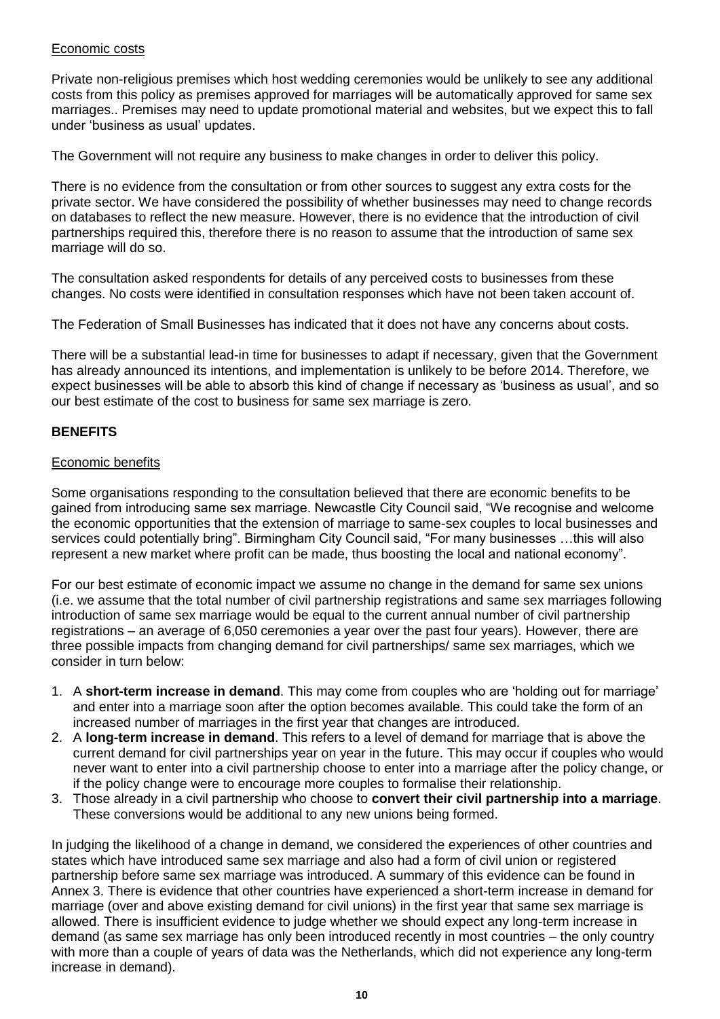#### Economic costs

Private non-religious premises which host wedding ceremonies would be unlikely to see any additional costs from this policy as premises approved for marriages will be automatically approved for same sex marriages.. Premises may need to update promotional material and websites, but we expect this to fall under "business as usual" updates.

The Government will not require any business to make changes in order to deliver this policy.

There is no evidence from the consultation or from other sources to suggest any extra costs for the private sector. We have considered the possibility of whether businesses may need to change records on databases to reflect the new measure. However, there is no evidence that the introduction of civil partnerships required this, therefore there is no reason to assume that the introduction of same sex marriage will do so.

The consultation asked respondents for details of any perceived costs to businesses from these changes. No costs were identified in consultation responses which have not been taken account of.

The Federation of Small Businesses has indicated that it does not have any concerns about costs.

There will be a substantial lead-in time for businesses to adapt if necessary, given that the Government has already announced its intentions, and implementation is unlikely to be before 2014. Therefore, we expect businesses will be able to absorb this kind of change if necessary as "business as usual", and so our best estimate of the cost to business for same sex marriage is zero.

## **BENEFITS**

#### Economic benefits

Some organisations responding to the consultation believed that there are economic benefits to be gained from introducing same sex marriage. Newcastle City Council said, "We recognise and welcome the economic opportunities that the extension of marriage to same-sex couples to local businesses and services could potentially bring". Birmingham City Council said, "For many businesses …this will also represent a new market where profit can be made, thus boosting the local and national economy".

For our best estimate of economic impact we assume no change in the demand for same sex unions (i.e. we assume that the total number of civil partnership registrations and same sex marriages following introduction of same sex marriage would be equal to the current annual number of civil partnership registrations – an average of 6,050 ceremonies a year over the past four years). However, there are three possible impacts from changing demand for civil partnerships/ same sex marriages, which we consider in turn below:

- 1. A **short-term increase in demand**. This may come from couples who are "holding out for marriage" and enter into a marriage soon after the option becomes available. This could take the form of an increased number of marriages in the first year that changes are introduced.
- 2. A **long-term increase in demand**. This refers to a level of demand for marriage that is above the current demand for civil partnerships year on year in the future. This may occur if couples who would never want to enter into a civil partnership choose to enter into a marriage after the policy change, or if the policy change were to encourage more couples to formalise their relationship.
- 3. Those already in a civil partnership who choose to **convert their civil partnership into a marriage**. These conversions would be additional to any new unions being formed.

In judging the likelihood of a change in demand, we considered the experiences of other countries and states which have introduced same sex marriage and also had a form of civil union or registered partnership before same sex marriage was introduced. A summary of this evidence can be found in Annex 3. There is evidence that other countries have experienced a short-term increase in demand for marriage (over and above existing demand for civil unions) in the first year that same sex marriage is allowed. There is insufficient evidence to judge whether we should expect any long-term increase in demand (as same sex marriage has only been introduced recently in most countries – the only country with more than a couple of years of data was the Netherlands, which did not experience any long-term increase in demand).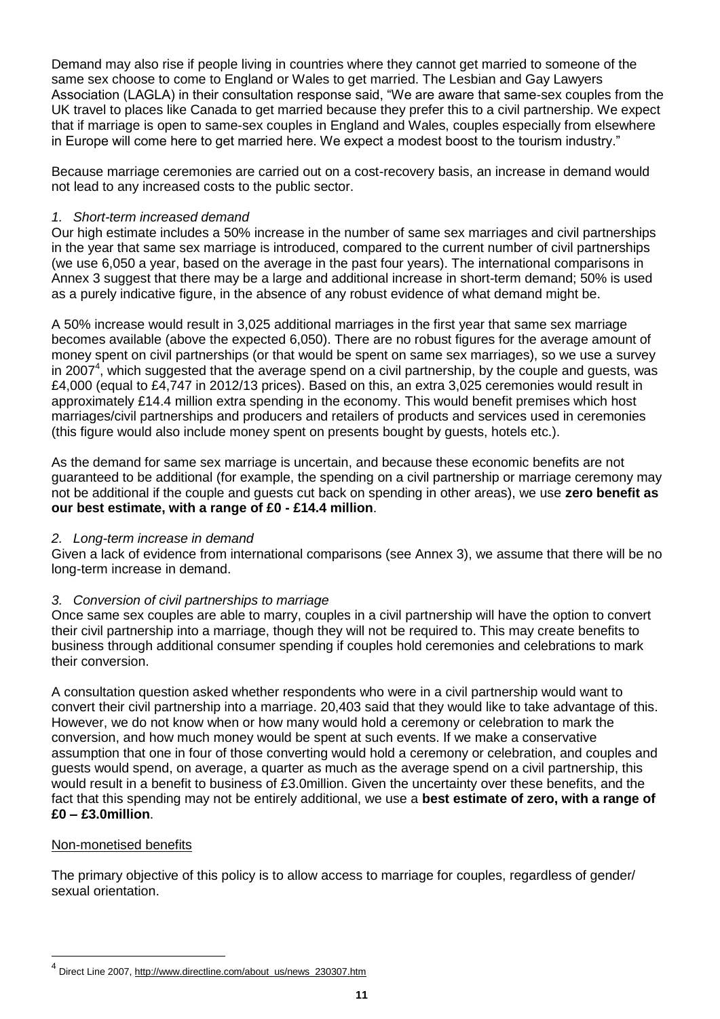Demand may also rise if people living in countries where they cannot get married to someone of the same sex choose to come to England or Wales to get married. The Lesbian and Gay Lawyers Association (LAGLA) in their consultation response said, "We are aware that same-sex couples from the UK travel to places like Canada to get married because they prefer this to a civil partnership. We expect that if marriage is open to same-sex couples in England and Wales, couples especially from elsewhere in Europe will come here to get married here. We expect a modest boost to the tourism industry."

Because marriage ceremonies are carried out on a cost-recovery basis, an increase in demand would not lead to any increased costs to the public sector.

#### *1. Short-term increased demand*

Our high estimate includes a 50% increase in the number of same sex marriages and civil partnerships in the year that same sex marriage is introduced, compared to the current number of civil partnerships (we use 6,050 a year, based on the average in the past four years). The international comparisons in Annex 3 suggest that there may be a large and additional increase in short-term demand; 50% is used as a purely indicative figure, in the absence of any robust evidence of what demand might be.

A 50% increase would result in 3,025 additional marriages in the first year that same sex marriage becomes available (above the expected 6,050). There are no robust figures for the average amount of money spent on civil partnerships (or that would be spent on same sex marriages), so we use a survey in 2007<sup>4</sup>, which suggested that the average spend on a civil partnership, by the couple and guests, was £4,000 (equal to £4,747 in 2012/13 prices). Based on this, an extra 3,025 ceremonies would result in approximately £14.4 million extra spending in the economy. This would benefit premises which host marriages/civil partnerships and producers and retailers of products and services used in ceremonies (this figure would also include money spent on presents bought by guests, hotels etc.).

As the demand for same sex marriage is uncertain, and because these economic benefits are not guaranteed to be additional (for example, the spending on a civil partnership or marriage ceremony may not be additional if the couple and guests cut back on spending in other areas), we use **zero benefit as our best estimate, with a range of £0 - £14.4 million**.

#### *2. Long-term increase in demand*

Given a lack of evidence from international comparisons (see Annex 3), we assume that there will be no long-term increase in demand.

## *3. Conversion of civil partnerships to marriage*

Once same sex couples are able to marry, couples in a civil partnership will have the option to convert their civil partnership into a marriage, though they will not be required to. This may create benefits to business through additional consumer spending if couples hold ceremonies and celebrations to mark their conversion.

A consultation question asked whether respondents who were in a civil partnership would want to convert their civil partnership into a marriage. 20,403 said that they would like to take advantage of this. However, we do not know when or how many would hold a ceremony or celebration to mark the conversion, and how much money would be spent at such events. If we make a conservative assumption that one in four of those converting would hold a ceremony or celebration, and couples and guests would spend, on average, a quarter as much as the average spend on a civil partnership, this would result in a benefit to business of £3.0million. Given the uncertainty over these benefits, and the fact that this spending may not be entirely additional, we use a **best estimate of zero, with a range of £0 – £3.0million**.

## Non-monetised benefits

l

The primary objective of this policy is to allow access to marriage for couples, regardless of gender/ sexual orientation.

<sup>&</sup>lt;sup>4</sup> Direct Line 2007[, http://www.directline.com/about\\_us/news\\_230307.htm](http://www.directline.com/about_us/news_230307.htm)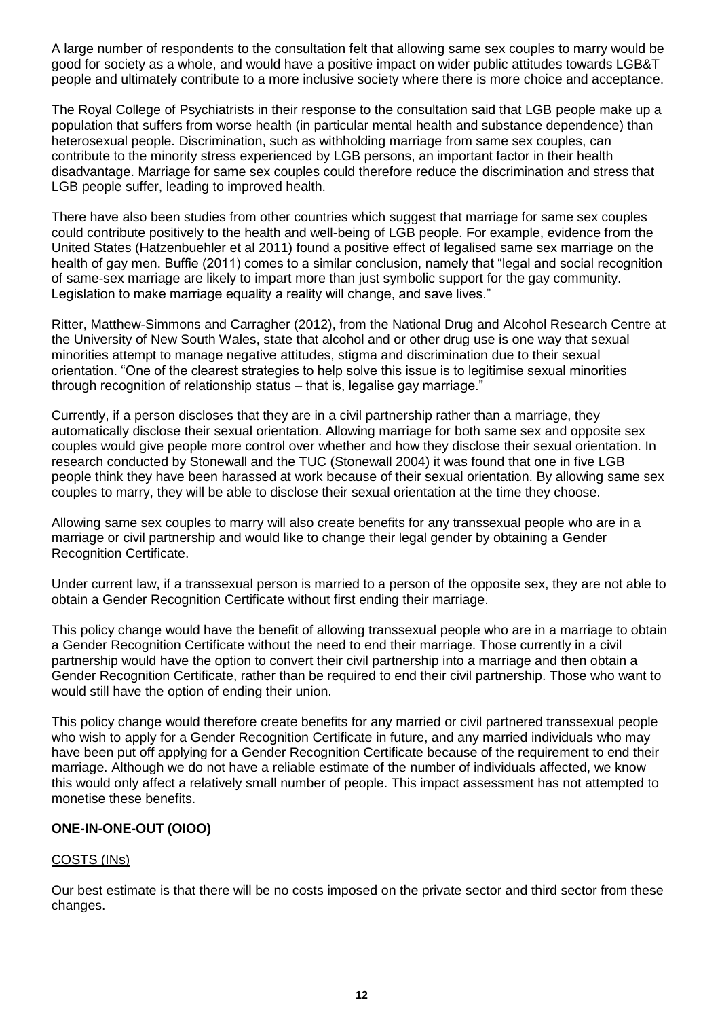A large number of respondents to the consultation felt that allowing same sex couples to marry would be good for society as a whole, and would have a positive impact on wider public attitudes towards LGB&T people and ultimately contribute to a more inclusive society where there is more choice and acceptance.

The Royal College of Psychiatrists in their response to the consultation said that LGB people make up a population that suffers from worse health (in particular mental health and substance dependence) than heterosexual people. Discrimination, such as withholding marriage from same sex couples, can contribute to the minority stress experienced by LGB persons, an important factor in their health disadvantage. Marriage for same sex couples could therefore reduce the discrimination and stress that LGB people suffer, leading to improved health.

There have also been studies from other countries which suggest that marriage for same sex couples could contribute positively to the health and well-being of LGB people. For example, evidence from the United States (Hatzenbuehler et al 2011) found a positive effect of legalised same sex marriage on the health of gay men. Buffie (2011) comes to a similar conclusion, namely that "legal and social recognition of same-sex marriage are likely to impart more than just symbolic support for the gay community. Legislation to make marriage equality a reality will change, and save lives."

Ritter, Matthew-Simmons and Carragher (2012), from the National Drug and Alcohol Research Centre at the University of New South Wales, state that alcohol and or other drug use is one way that sexual minorities attempt to manage negative attitudes, stigma and discrimination due to their sexual orientation. "One of the clearest strategies to help solve this issue is to legitimise sexual minorities through recognition of relationship status – that is, legalise gay marriage."

Currently, if a person discloses that they are in a civil partnership rather than a marriage, they automatically disclose their sexual orientation. Allowing marriage for both same sex and opposite sex couples would give people more control over whether and how they disclose their sexual orientation. In research conducted by Stonewall and the TUC (Stonewall 2004) it was found that one in five LGB people think they have been harassed at work because of their sexual orientation. By allowing same sex couples to marry, they will be able to disclose their sexual orientation at the time they choose.

Allowing same sex couples to marry will also create benefits for any transsexual people who are in a marriage or civil partnership and would like to change their legal gender by obtaining a Gender Recognition Certificate.

Under current law, if a transsexual person is married to a person of the opposite sex, they are not able to obtain a Gender Recognition Certificate without first ending their marriage.

This policy change would have the benefit of allowing transsexual people who are in a marriage to obtain a Gender Recognition Certificate without the need to end their marriage. Those currently in a civil partnership would have the option to convert their civil partnership into a marriage and then obtain a Gender Recognition Certificate, rather than be required to end their civil partnership. Those who want to would still have the option of ending their union.

This policy change would therefore create benefits for any married or civil partnered transsexual people who wish to apply for a Gender Recognition Certificate in future, and any married individuals who may have been put off applying for a Gender Recognition Certificate because of the requirement to end their marriage. Although we do not have a reliable estimate of the number of individuals affected, we know this would only affect a relatively small number of people. This impact assessment has not attempted to monetise these benefits.

## **ONE-IN-ONE-OUT (OIOO)**

## COSTS (INs)

Our best estimate is that there will be no costs imposed on the private sector and third sector from these changes.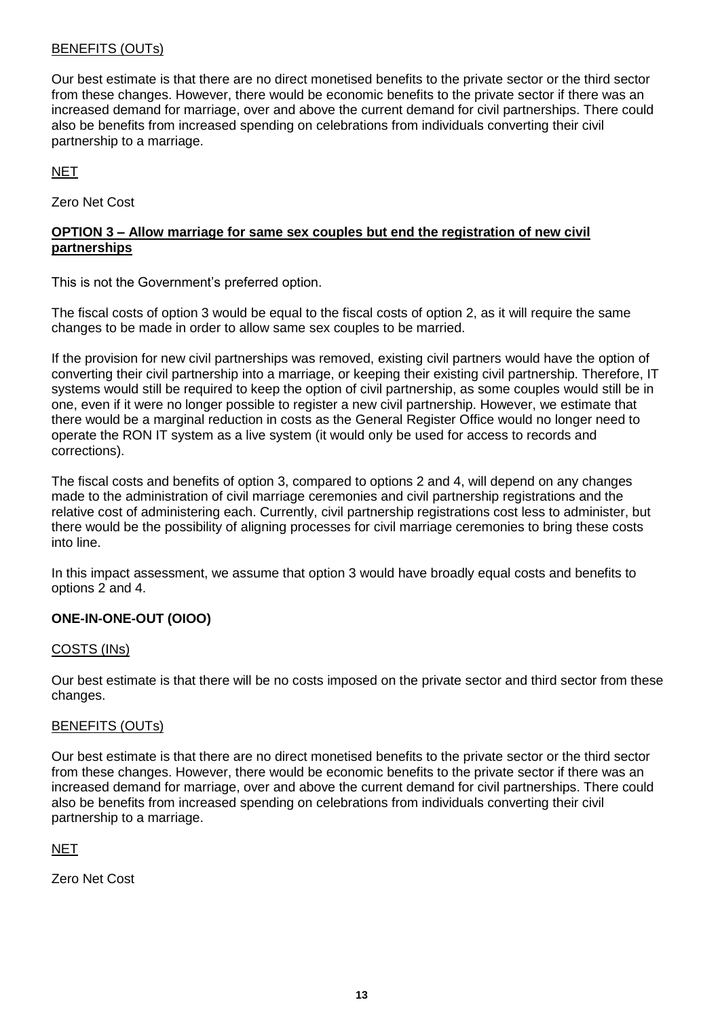## BENEFITS (OUTs)

Our best estimate is that there are no direct monetised benefits to the private sector or the third sector from these changes. However, there would be economic benefits to the private sector if there was an increased demand for marriage, over and above the current demand for civil partnerships. There could also be benefits from increased spending on celebrations from individuals converting their civil partnership to a marriage.

## NET

Zero Net Cost

## **OPTION 3 – Allow marriage for same sex couples but end the registration of new civil partnerships**

This is not the Government's preferred option.

The fiscal costs of option 3 would be equal to the fiscal costs of option 2, as it will require the same changes to be made in order to allow same sex couples to be married.

If the provision for new civil partnerships was removed, existing civil partners would have the option of converting their civil partnership into a marriage, or keeping their existing civil partnership. Therefore, IT systems would still be required to keep the option of civil partnership, as some couples would still be in one, even if it were no longer possible to register a new civil partnership. However, we estimate that there would be a marginal reduction in costs as the General Register Office would no longer need to operate the RON IT system as a live system (it would only be used for access to records and corrections).

The fiscal costs and benefits of option 3, compared to options 2 and 4, will depend on any changes made to the administration of civil marriage ceremonies and civil partnership registrations and the relative cost of administering each. Currently, civil partnership registrations cost less to administer, but there would be the possibility of aligning processes for civil marriage ceremonies to bring these costs into line.

In this impact assessment, we assume that option 3 would have broadly equal costs and benefits to options 2 and 4.

## **ONE-IN-ONE-OUT (OIOO)**

## COSTS (INs)

Our best estimate is that there will be no costs imposed on the private sector and third sector from these changes.

## BENEFITS (OUTs)

Our best estimate is that there are no direct monetised benefits to the private sector or the third sector from these changes. However, there would be economic benefits to the private sector if there was an increased demand for marriage, over and above the current demand for civil partnerships. There could also be benefits from increased spending on celebrations from individuals converting their civil partnership to a marriage.

## **NET**

Zero Net Cost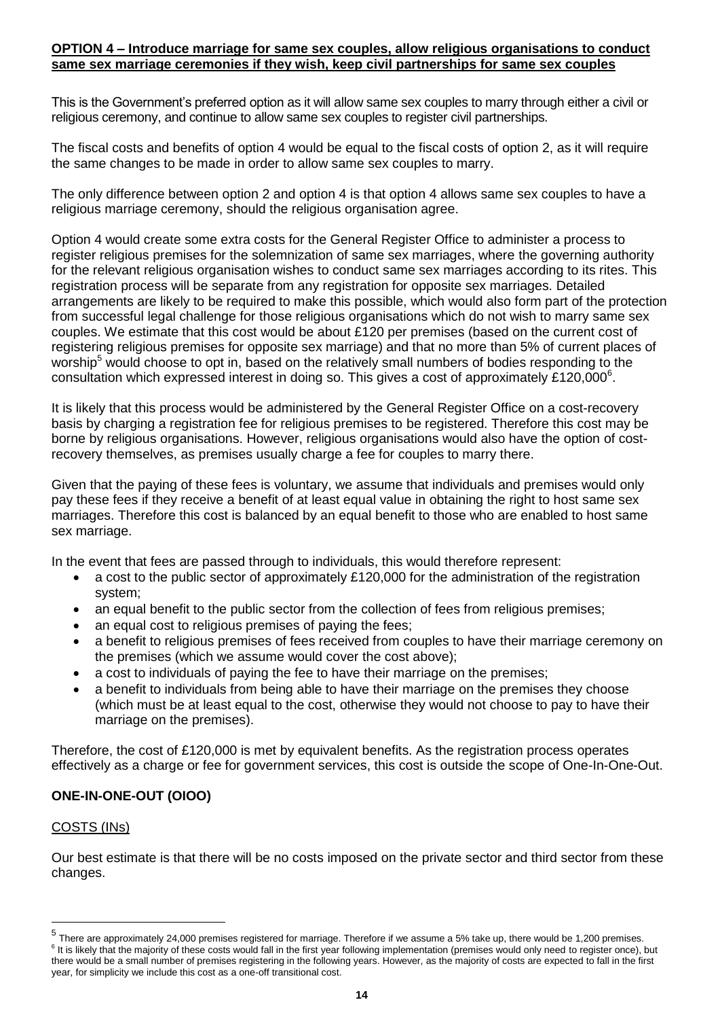#### **OPTION 4 – Introduce marriage for same sex couples, allow religious organisations to conduct same sex marriage ceremonies if they wish, keep civil partnerships for same sex couples**

This is the Government"s preferred option as it will allow same sex couples to marry through either a civil or religious ceremony, and continue to allow same sex couples to register civil partnerships.

The fiscal costs and benefits of option 4 would be equal to the fiscal costs of option 2, as it will require the same changes to be made in order to allow same sex couples to marry.

The only difference between option 2 and option 4 is that option 4 allows same sex couples to have a religious marriage ceremony, should the religious organisation agree.

Option 4 would create some extra costs for the General Register Office to administer a process to register religious premises for the solemnization of same sex marriages, where the governing authority for the relevant religious organisation wishes to conduct same sex marriages according to its rites. This registration process will be separate from any registration for opposite sex marriages. Detailed arrangements are likely to be required to make this possible, which would also form part of the protection from successful legal challenge for those religious organisations which do not wish to marry same sex couples. We estimate that this cost would be about £120 per premises (based on the current cost of registering religious premises for opposite sex marriage) and that no more than 5% of current places of worship<sup>5</sup> would choose to opt in, based on the relatively small numbers of bodies responding to the consultation which expressed interest in doing so. This gives a cost of approximately £120,000 $^6$ .

It is likely that this process would be administered by the General Register Office on a cost-recovery basis by charging a registration fee for religious premises to be registered. Therefore this cost may be borne by religious organisations. However, religious organisations would also have the option of costrecovery themselves, as premises usually charge a fee for couples to marry there.

Given that the paying of these fees is voluntary, we assume that individuals and premises would only pay these fees if they receive a benefit of at least equal value in obtaining the right to host same sex marriages. Therefore this cost is balanced by an equal benefit to those who are enabled to host same sex marriage.

In the event that fees are passed through to individuals, this would therefore represent:

- a cost to the public sector of approximately £120,000 for the administration of the registration system;
- an equal benefit to the public sector from the collection of fees from religious premises;
- an equal cost to religious premises of paying the fees;
- a benefit to religious premises of fees received from couples to have their marriage ceremony on the premises (which we assume would cover the cost above);
- a cost to individuals of paying the fee to have their marriage on the premises;
- a benefit to individuals from being able to have their marriage on the premises they choose (which must be at least equal to the cost, otherwise they would not choose to pay to have their marriage on the premises).

Therefore, the cost of £120,000 is met by equivalent benefits. As the registration process operates effectively as a charge or fee for government services, this cost is outside the scope of One-In-One-Out.

## **ONE-IN-ONE-OUT (OIOO)**

## COSTS (INs)

 $\overline{a}$ 

Our best estimate is that there will be no costs imposed on the private sector and third sector from these changes.

<sup>&</sup>lt;sup>5</sup> There are approximately 24,000 premises registered for marriage. Therefore if we assume a 5% take up, there would be 1,200 premises. <sup>6</sup> It is likely that the majority of these costs would fall in the first year following implementation (premises would only need to register once), but there would be a small number of premises registering in the following years. However, as the majority of costs are expected to fall in the first year, for simplicity we include this cost as a one-off transitional cost.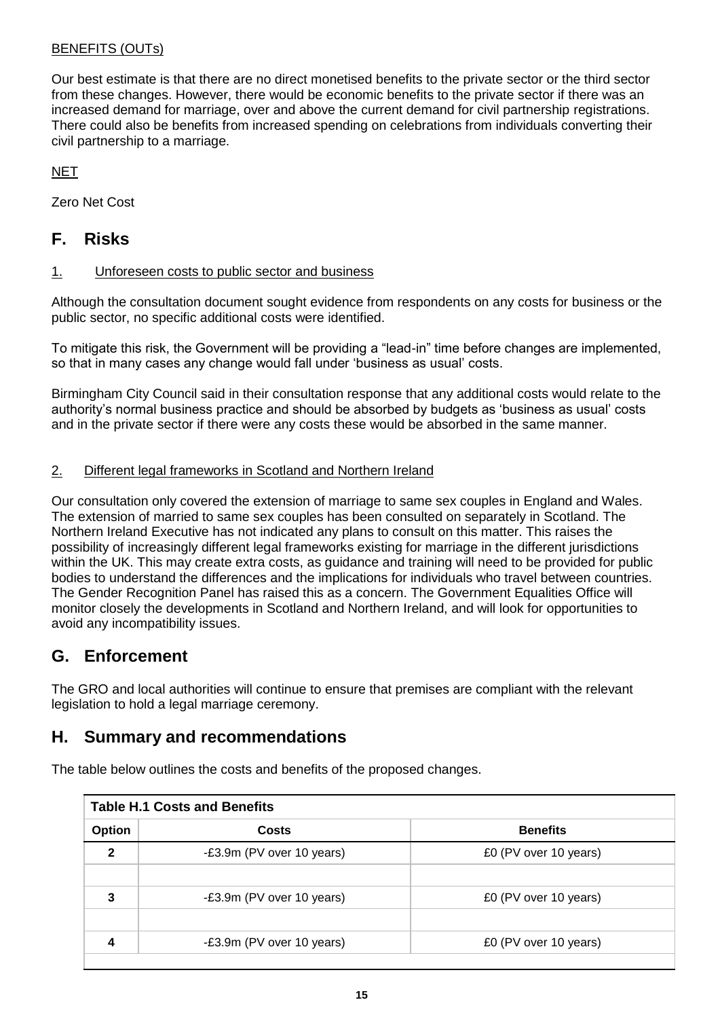## BENEFITS (OUTs)

Our best estimate is that there are no direct monetised benefits to the private sector or the third sector from these changes. However, there would be economic benefits to the private sector if there was an increased demand for marriage, over and above the current demand for civil partnership registrations. There could also be benefits from increased spending on celebrations from individuals converting their civil partnership to a marriage.

NET

Zero Net Cost

## **F. Risks**

## 1. Unforeseen costs to public sector and business

Although the consultation document sought evidence from respondents on any costs for business or the public sector, no specific additional costs were identified.

To mitigate this risk, the Government will be providing a "lead-in" time before changes are implemented, so that in many cases any change would fall under "business as usual" costs.

Birmingham City Council said in their consultation response that any additional costs would relate to the authority"s normal business practice and should be absorbed by budgets as "business as usual" costs and in the private sector if there were any costs these would be absorbed in the same manner.

## 2. Different legal frameworks in Scotland and Northern Ireland

Our consultation only covered the extension of marriage to same sex couples in England and Wales. The extension of married to same sex couples has been consulted on separately in Scotland. The Northern Ireland Executive has not indicated any plans to consult on this matter. This raises the possibility of increasingly different legal frameworks existing for marriage in the different jurisdictions within the UK. This may create extra costs, as guidance and training will need to be provided for public bodies to understand the differences and the implications for individuals who travel between countries. The Gender Recognition Panel has raised this as a concern. The Government Equalities Office will monitor closely the developments in Scotland and Northern Ireland, and will look for opportunities to avoid any incompatibility issues.

## **G. Enforcement**

The GRO and local authorities will continue to ensure that premises are compliant with the relevant legislation to hold a legal marriage ceremony.

## **H. Summary and recommendations**

The table below outlines the costs and benefits of the proposed changes.

| <b>Table H.1 Costs and Benefits</b> |                           |                       |  |  |  |  |  |  |
|-------------------------------------|---------------------------|-----------------------|--|--|--|--|--|--|
| <b>Option</b>                       | <b>Costs</b>              | <b>Benefits</b>       |  |  |  |  |  |  |
| $\mathbf{2}$                        | -£3.9m (PV over 10 years) | £0 (PV over 10 years) |  |  |  |  |  |  |
|                                     |                           |                       |  |  |  |  |  |  |
| 3                                   | -£3.9m (PV over 10 years) | £0 (PV over 10 years) |  |  |  |  |  |  |
|                                     |                           |                       |  |  |  |  |  |  |
| 4                                   | -£3.9m (PV over 10 years) | £0 (PV over 10 years) |  |  |  |  |  |  |
|                                     |                           |                       |  |  |  |  |  |  |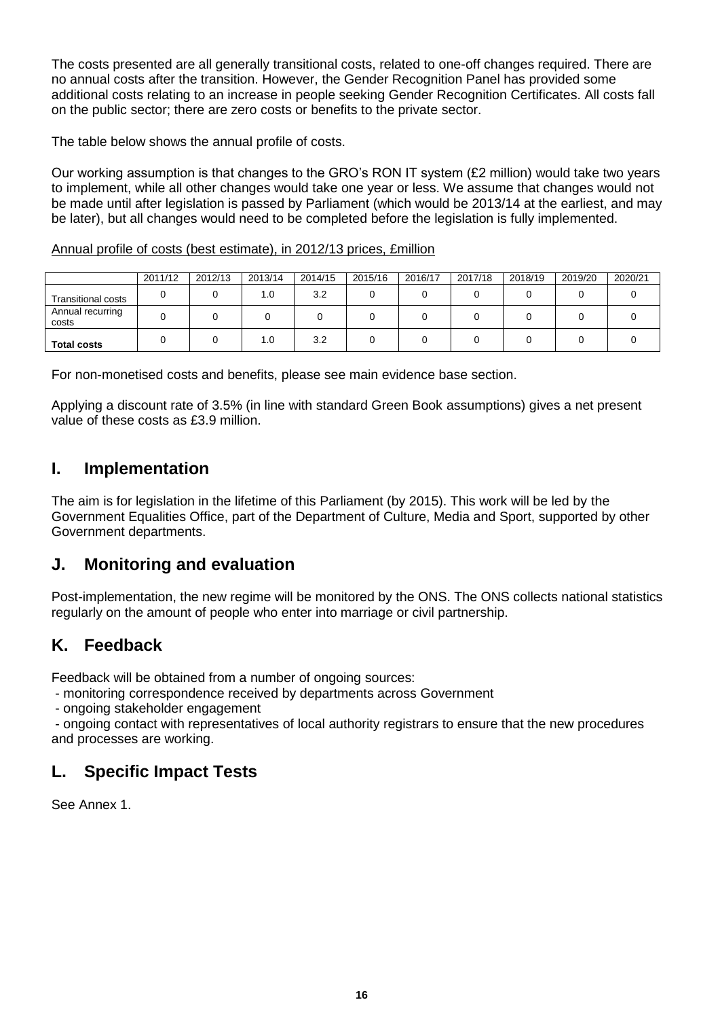The costs presented are all generally transitional costs, related to one-off changes required. There are no annual costs after the transition. However, the Gender Recognition Panel has provided some additional costs relating to an increase in people seeking Gender Recognition Certificates. All costs fall on the public sector; there are zero costs or benefits to the private sector.

The table below shows the annual profile of costs.

Our working assumption is that changes to the GRO"s RON IT system (£2 million) would take two years to implement, while all other changes would take one year or less. We assume that changes would not be made until after legislation is passed by Parliament (which would be 2013/14 at the earliest, and may be later), but all changes would need to be completed before the legislation is fully implemented.

## Annual profile of costs (best estimate), in 2012/13 prices, £million

|                           | 2011/12 | 2012/13 | 2013/14 | 2014/15 | 2015/16 | 2016/17 | 2017/18 | 2018/19 | 2019/20 | 2020/21 |
|---------------------------|---------|---------|---------|---------|---------|---------|---------|---------|---------|---------|
| <b>Transitional costs</b> |         |         | 1.0     | 3.2     |         |         |         |         |         |         |
| Annual recurring<br>costs |         |         |         |         |         |         |         |         |         |         |
| <b>Total costs</b>        |         |         | 1.0     | 3.2     |         |         |         |         |         |         |

For non-monetised costs and benefits, please see main evidence base section.

Applying a discount rate of 3.5% (in line with standard Green Book assumptions) gives a net present value of these costs as £3.9 million.

## **I. Implementation**

The aim is for legislation in the lifetime of this Parliament (by 2015). This work will be led by the Government Equalities Office, part of the Department of Culture, Media and Sport, supported by other Government departments.

## **J. Monitoring and evaluation**

Post-implementation, the new regime will be monitored by the ONS. The ONS collects national statistics regularly on the amount of people who enter into marriage or civil partnership.

## **K. Feedback**

Feedback will be obtained from a number of ongoing sources:

- monitoring correspondence received by departments across Government

- ongoing stakeholder engagement

- ongoing contact with representatives of local authority registrars to ensure that the new procedures and processes are working.

## **L. Specific Impact Tests**

See Annex 1.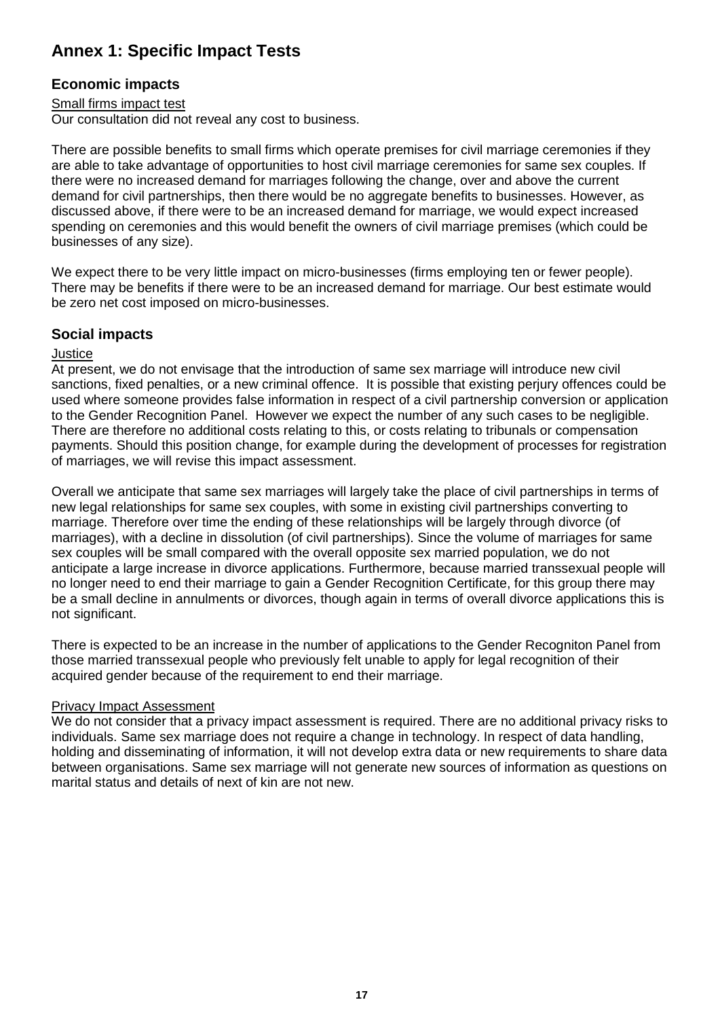# **Annex 1: Specific Impact Tests**

## **Economic impacts**

## Small firms impact test

Our consultation did not reveal any cost to business.

There are possible benefits to small firms which operate premises for civil marriage ceremonies if they are able to take advantage of opportunities to host civil marriage ceremonies for same sex couples. If there were no increased demand for marriages following the change, over and above the current demand for civil partnerships, then there would be no aggregate benefits to businesses. However, as discussed above, if there were to be an increased demand for marriage, we would expect increased spending on ceremonies and this would benefit the owners of civil marriage premises (which could be businesses of any size).

We expect there to be very little impact on micro-businesses (firms employing ten or fewer people). There may be benefits if there were to be an increased demand for marriage. Our best estimate would be zero net cost imposed on micro-businesses.

## **Social impacts**

#### **Justice**

At present, we do not envisage that the introduction of same sex marriage will introduce new civil sanctions, fixed penalties, or a new criminal offence. It is possible that existing perjury offences could be used where someone provides false information in respect of a civil partnership conversion or application to the Gender Recognition Panel. However we expect the number of any such cases to be negligible. There are therefore no additional costs relating to this, or costs relating to tribunals or compensation payments. Should this position change, for example during the development of processes for registration of marriages, we will revise this impact assessment.

Overall we anticipate that same sex marriages will largely take the place of civil partnerships in terms of new legal relationships for same sex couples, with some in existing civil partnerships converting to marriage. Therefore over time the ending of these relationships will be largely through divorce (of marriages), with a decline in dissolution (of civil partnerships). Since the volume of marriages for same sex couples will be small compared with the overall opposite sex married population, we do not anticipate a large increase in divorce applications. Furthermore, because married transsexual people will no longer need to end their marriage to gain a Gender Recognition Certificate, for this group there may be a small decline in annulments or divorces, though again in terms of overall divorce applications this is not significant.

There is expected to be an increase in the number of applications to the Gender Recogniton Panel from those married transsexual people who previously felt unable to apply for legal recognition of their acquired gender because of the requirement to end their marriage.

## Privacy Impact Assessment

We do not consider that a privacy impact assessment is required. There are no additional privacy risks to individuals. Same sex marriage does not require a change in technology. In respect of data handling, holding and disseminating of information, it will not develop extra data or new requirements to share data between organisations. Same sex marriage will not generate new sources of information as questions on marital status and details of next of kin are not new.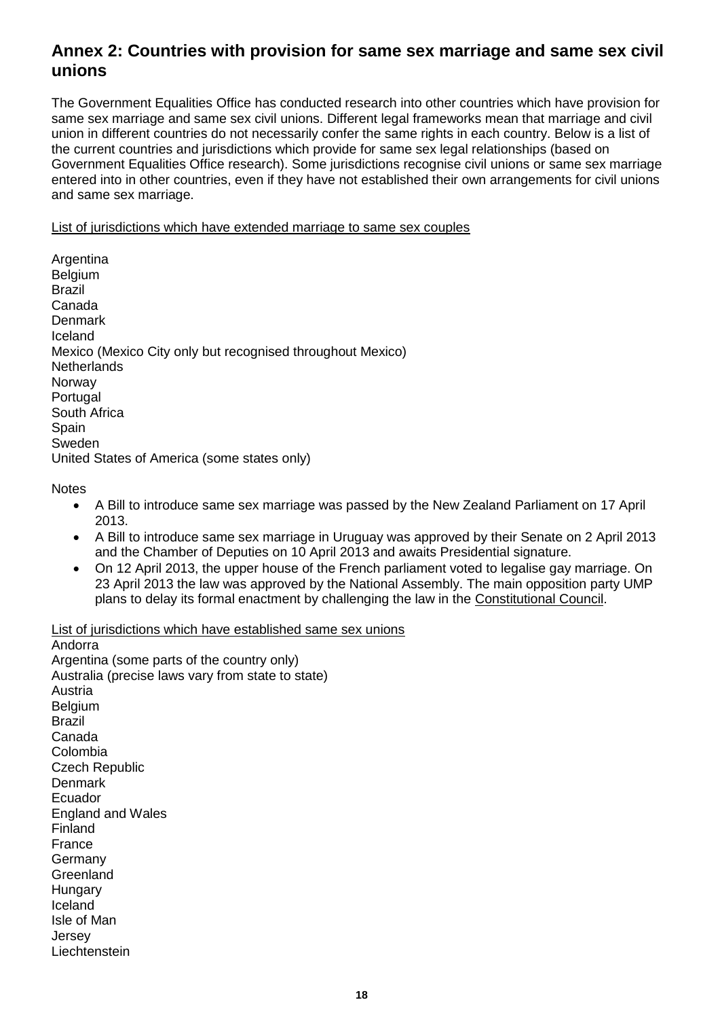## **Annex 2: Countries with provision for same sex marriage and same sex civil unions**

The Government Equalities Office has conducted research into other countries which have provision for same sex marriage and same sex civil unions. Different legal frameworks mean that marriage and civil union in different countries do not necessarily confer the same rights in each country. Below is a list of the current countries and jurisdictions which provide for same sex legal relationships (based on Government Equalities Office research). Some jurisdictions recognise civil unions or same sex marriage entered into in other countries, even if they have not established their own arrangements for civil unions and same sex marriage.

List of jurisdictions which have extended marriage to same sex couples

Argentina Belgium Brazil Canada **Denmark** Iceland Mexico (Mexico City only but recognised throughout Mexico) **Netherlands** Norway **Portugal** South Africa Spain Sweden United States of America (some states only)

**Notes** 

- A Bill to introduce same sex marriage was passed by the New Zealand Parliament on 17 April 2013.
- A Bill to introduce same sex marriage in Uruguay was approved by their Senate on 2 April 2013 and the Chamber of Deputies on 10 April 2013 and awaits Presidential signature.
- On 12 April 2013, the upper house of the French parliament voted to legalise gay marriage. On 23 April 2013 the law was approved by the National Assembly. The main opposition party UMP plans to delay its formal enactment by challenging the law in the [Constitutional Council.](http://en.wikipedia.org/wiki/Constitutional_Council_of_France)

List of jurisdictions which have established same sex unions

Andorra Argentina (some parts of the country only) Australia (precise laws vary from state to state) Austria **Belgium** Brazil Canada Colombia Czech Republic **Denmark** Ecuador England and Wales Finland France Germany **Greenland Hungary** Iceland Isle of Man Jersey **Liechtenstein**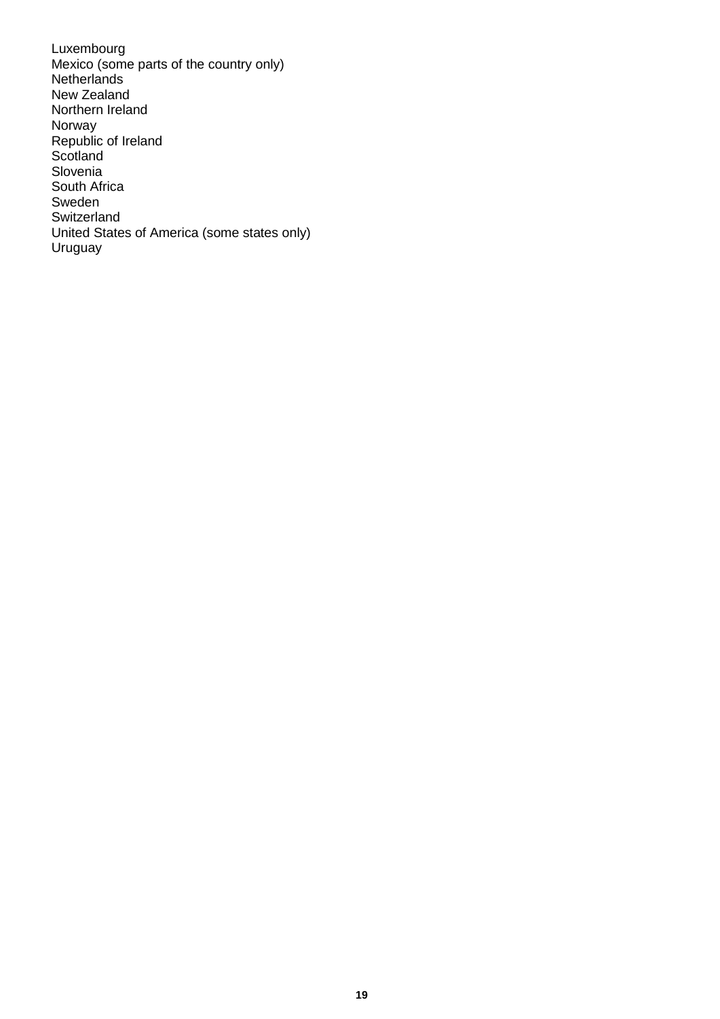Luxembourg Mexico (some parts of the country only) **Netherlands** New Zealand Northern Ireland Norway Republic of Ireland **Scotland** Slovenia South Africa Sweden Switzerland United States of America (some states only) Uruguay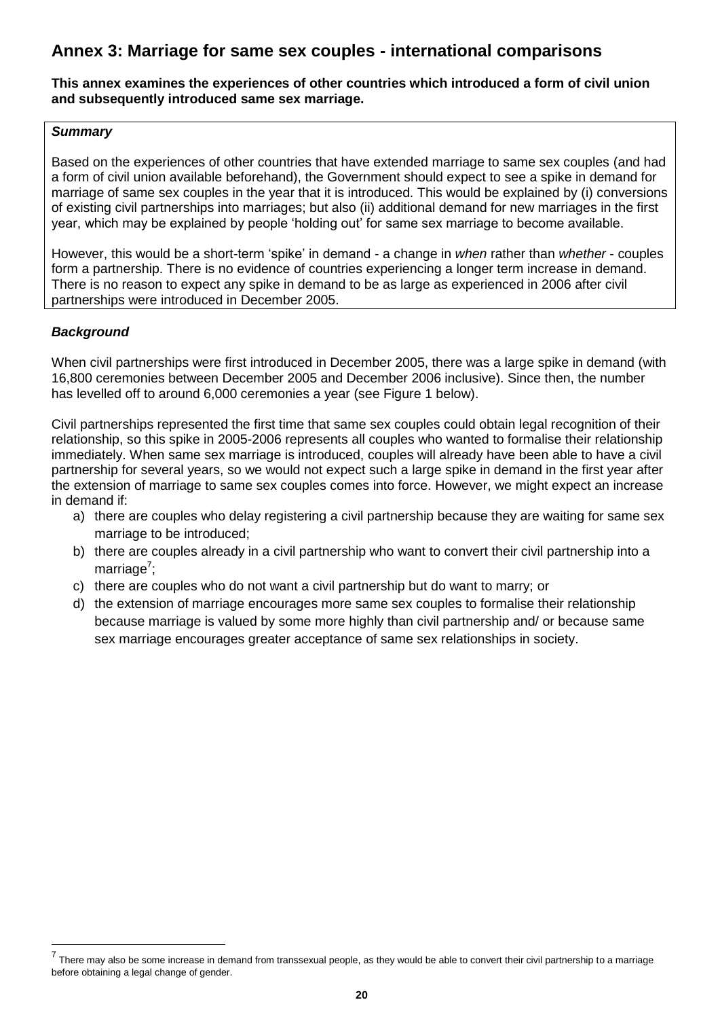## **Annex 3: Marriage for same sex couples - international comparisons**

#### **This annex examines the experiences of other countries which introduced a form of civil union and subsequently introduced same sex marriage.**

## *Summary*

Based on the experiences of other countries that have extended marriage to same sex couples (and had a form of civil union available beforehand), the Government should expect to see a spike in demand for marriage of same sex couples in the year that it is introduced. This would be explained by (i) conversions of existing civil partnerships into marriages; but also (ii) additional demand for new marriages in the first year, which may be explained by people "holding out" for same sex marriage to become available.

However, this would be a short-term "spike" in demand - a change in *when* rather than *whether* - couples form a partnership. There is no evidence of countries experiencing a longer term increase in demand. There is no reason to expect any spike in demand to be as large as experienced in 2006 after civil partnerships were introduced in December 2005.

## *Background*

When civil partnerships were first introduced in December 2005, there was a large spike in demand (with 16,800 ceremonies between December 2005 and December 2006 inclusive). Since then, the number has levelled off to around 6,000 ceremonies a year (see Figure 1 below).

Civil partnerships represented the first time that same sex couples could obtain legal recognition of their relationship, so this spike in 2005-2006 represents all couples who wanted to formalise their relationship immediately. When same sex marriage is introduced, couples will already have been able to have a civil partnership for several years, so we would not expect such a large spike in demand in the first year after the extension of marriage to same sex couples comes into force. However, we might expect an increase in demand if:

- a) there are couples who delay registering a civil partnership because they are waiting for same sex marriage to be introduced;
- b) there are couples already in a civil partnership who want to convert their civil partnership into a marriage<sup>7</sup>;
- c) there are couples who do not want a civil partnership but do want to marry; or
- d) the extension of marriage encourages more same sex couples to formalise their relationship because marriage is valued by some more highly than civil partnership and/ or because same sex marriage encourages greater acceptance of same sex relationships in society.

 7 There may also be some increase in demand from transsexual people, as they would be able to convert their civil partnership to a marriage before obtaining a legal change of gender.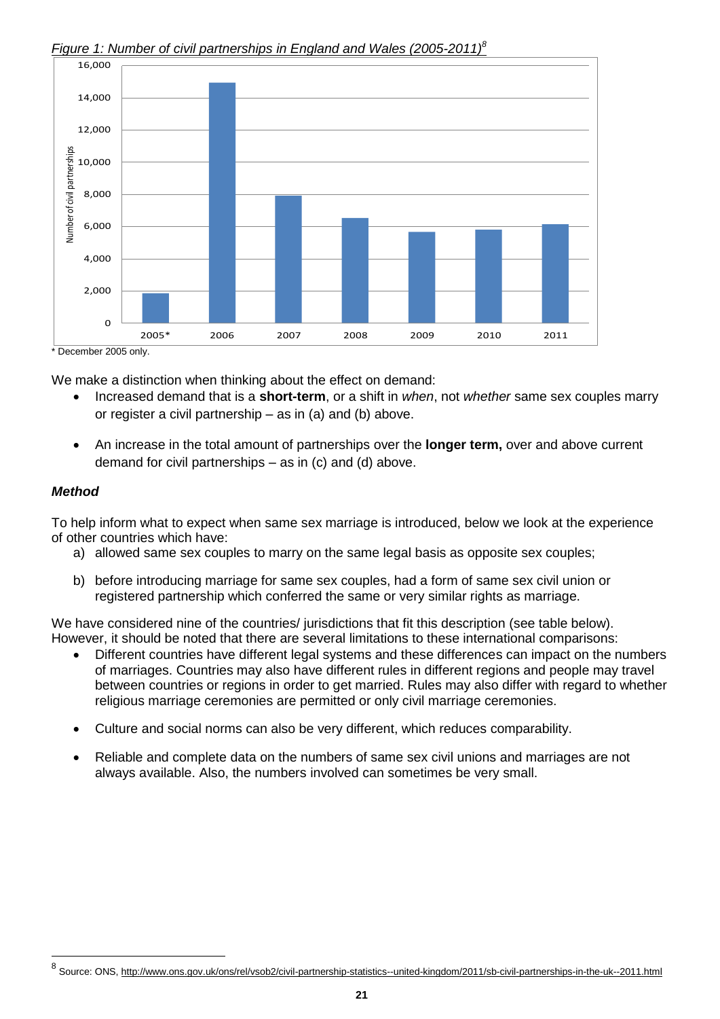

## *Figure 1: Number of civil partnerships in England and Wales (2005-2011)<sup>8</sup>*

We make a distinction when thinking about the effect on demand:

 Increased demand that is a **short-term**, or a shift in *when*, not *whether* same sex couples marry or register a civil partnership – as in (a) and (b) above.

 $\overline{a}$ 

 An increase in the total amount of partnerships over the **longer term,** over and above current demand for civil partnerships – as in (c) and (d) above.

## *Method*

l

To help inform what to expect when same sex marriage is introduced, below we look at the experience of other countries which have:

- a) allowed same sex couples to marry on the same legal basis as opposite sex couples;
- b) before introducing marriage for same sex couples, had a form of same sex civil union or registered partnership which conferred the same or very similar rights as marriage.

We have considered nine of the countries/ jurisdictions that fit this description (see table below). However, it should be noted that there are several limitations to these international comparisons:

- Different countries have different legal systems and these differences can impact on the numbers of marriages. Countries may also have different rules in different regions and people may travel between countries or regions in order to get married. Rules may also differ with regard to whether religious marriage ceremonies are permitted or only civil marriage ceremonies.
- Culture and social norms can also be very different, which reduces comparability.
- Reliable and complete data on the numbers of same sex civil unions and marriages are not always available. Also, the numbers involved can sometimes be very small.

<sup>&</sup>lt;sup>8</sup> Source: ONS[, http://www.ons.gov.uk/ons/rel/vsob2/civil-partnership-statistics--united-kingdom/2011/sb-civil-partnerships-in-the-uk--2011.html](http://www.ons.gov.uk/ons/rel/vsob2/civil-partnership-statistics--united-kingdom/2011/sb-civil-partnerships-in-the-uk--2011.html)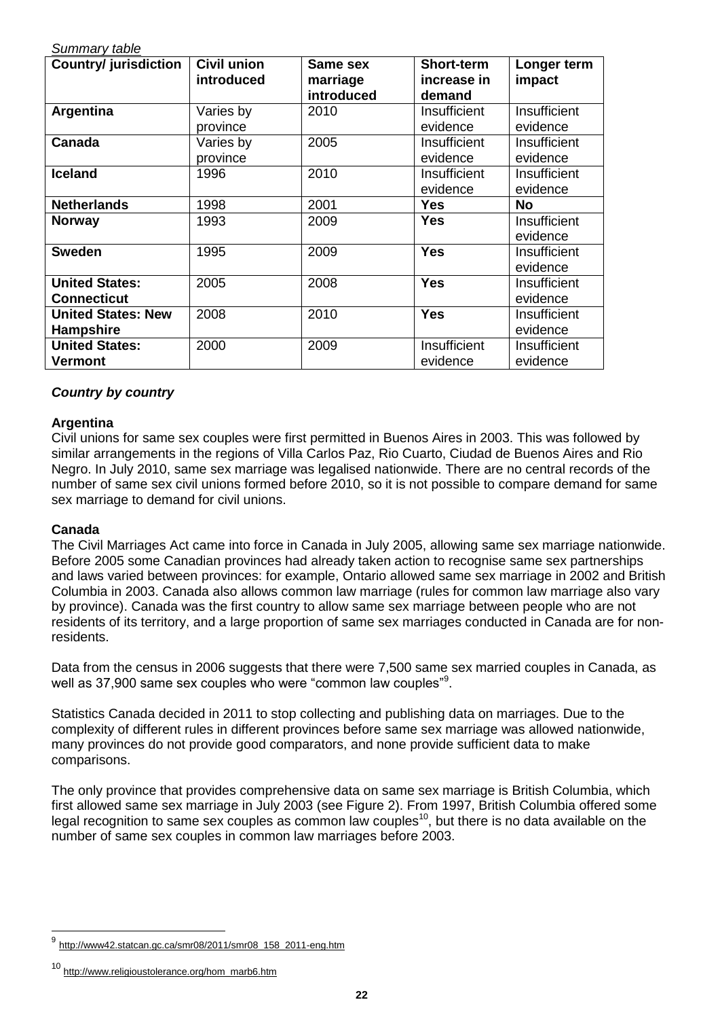| Suminary table               |                    |                 |                   |              |
|------------------------------|--------------------|-----------------|-------------------|--------------|
| <b>Country/ jurisdiction</b> | <b>Civil union</b> | <b>Same sex</b> | <b>Short-term</b> | Longer term  |
|                              | introduced         | marriage        | increase in       | impact       |
|                              |                    | introduced      | demand            |              |
| Argentina                    | Varies by          | 2010            | Insufficient      | Insufficient |
|                              | province           |                 | evidence          | evidence     |
| Canada                       | Varies by          | 2005            | Insufficient      | Insufficient |
|                              | province           |                 | evidence          | evidence     |
| <b>Iceland</b>               | 1996               | 2010            | Insufficient      | Insufficient |
|                              |                    |                 | evidence          | evidence     |
| <b>Netherlands</b>           | 1998               | 2001            | <b>Yes</b>        | <b>No</b>    |
| <b>Norway</b>                | 1993               | 2009            | <b>Yes</b>        | Insufficient |
|                              |                    |                 |                   | evidence     |
| <b>Sweden</b>                | 1995               | 2009            | <b>Yes</b>        | Insufficient |
|                              |                    |                 |                   | evidence     |
| <b>United States:</b>        | 2005               | 2008            | <b>Yes</b>        | Insufficient |
| <b>Connecticut</b>           |                    |                 |                   | evidence     |
| <b>United States: New</b>    | 2008               | 2010            | <b>Yes</b>        | Insufficient |
| <b>Hampshire</b>             |                    |                 |                   | evidence     |
| <b>United States:</b>        | 2000               | 2009            | Insufficient      | Insufficient |
| Vermont                      |                    |                 | evidence          | evidence     |

## *Country by country*

*Summary table*

## **Argentina**

Civil unions for same sex couples were first permitted in Buenos Aires in 2003. This was followed by similar arrangements in the regions of Villa Carlos Paz, Rio Cuarto, Ciudad de Buenos Aires and Rio Negro. In July 2010, same sex marriage was legalised nationwide. There are no central records of the number of same sex civil unions formed before 2010, so it is not possible to compare demand for same sex marriage to demand for civil unions.

## **Canada**

l

The Civil Marriages Act came into force in Canada in July 2005, allowing same sex marriage nationwide. Before 2005 some Canadian provinces had already taken action to recognise same sex partnerships and laws varied between provinces: for example, Ontario allowed same sex marriage in 2002 and British Columbia in 2003. Canada also allows common law marriage (rules for common law marriage also vary by province). Canada was the first country to allow same sex marriage between people who are not residents of its territory, and a large proportion of same sex marriages conducted in Canada are for nonresidents.

Data from the census in 2006 suggests that there were 7,500 same sex married couples in Canada, as well as 37,900 same sex couples who were "common law couples"<sup>9</sup>.

Statistics Canada decided in 2011 to stop collecting and publishing data on marriages. Due to the complexity of different rules in different provinces before same sex marriage was allowed nationwide, many provinces do not provide good comparators, and none provide sufficient data to make comparisons.

The only province that provides comprehensive data on same sex marriage is British Columbia, which first allowed same sex marriage in July 2003 (see Figure 2). From 1997, British Columbia offered some legal recognition to same sex couples as common law couples<sup>10</sup>, but there is no data available on the number of same sex couples in common law marriages before 2003.

<sup>9</sup> [http://www42.statcan.gc.ca/smr08/2011/smr08\\_158\\_2011-eng.htm](http://www42.statcan.gc.ca/smr08/2011/smr08_158_2011-eng.htm)

<sup>10</sup> [http://www.religioustolerance.org/hom\\_marb6.htm](http://www.religioustolerance.org/hom_marb6.htm)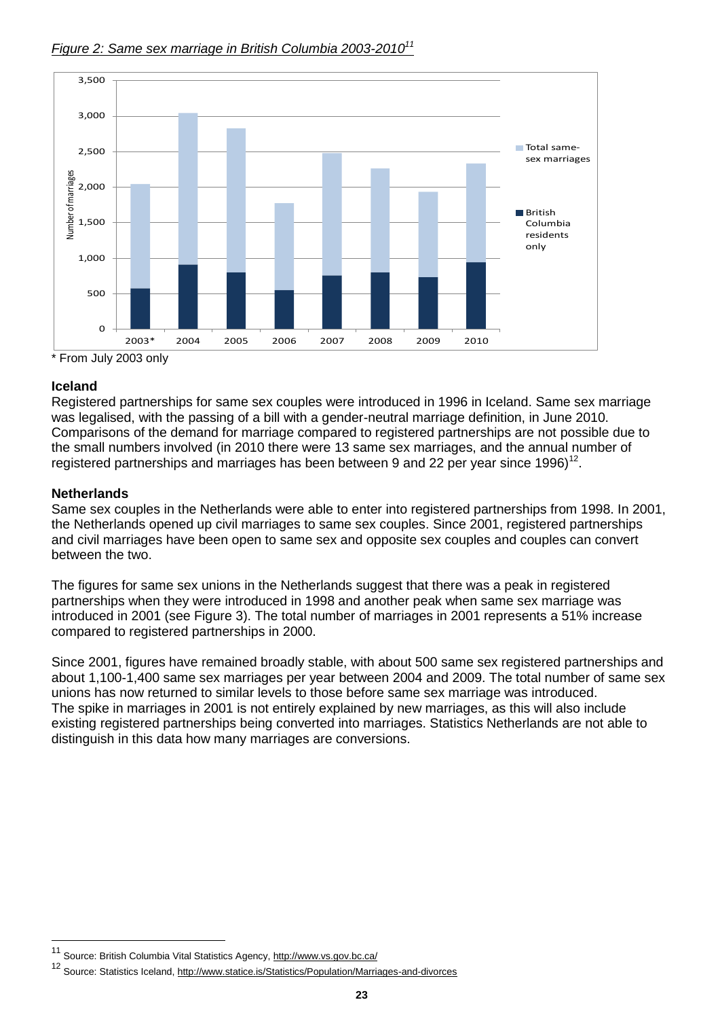

## *Figure 2: Same sex marriage in British Columbia 2003-2010<sup>11</sup>*

\* From July 2003 only

## **Iceland**

Registered partnerships for same sex couples were introduced in 1996 in Iceland. Same sex marriage was legalised, with the passing of a bill with a gender-neutral marriage definition, in June 2010. Comparisons of the demand for marriage compared to registered partnerships are not possible due to the small numbers involved (in 2010 there were 13 same sex marriages, and the annual number of registered partnerships and marriages has been between 9 and 22 per year since 1996)<sup>12</sup>.

## **Netherlands**

 $\overline{a}$ 

Same sex couples in the Netherlands were able to enter into registered partnerships from 1998. In 2001, the Netherlands opened up civil marriages to same sex couples. Since 2001, registered partnerships and civil marriages have been open to same sex and opposite sex couples and couples can convert between the two.

The figures for same sex unions in the Netherlands suggest that there was a peak in registered partnerships when they were introduced in 1998 and another peak when same sex marriage was introduced in 2001 (see Figure 3). The total number of marriages in 2001 represents a 51% increase compared to registered partnerships in 2000.

Since 2001, figures have remained broadly stable, with about 500 same sex registered partnerships and about 1,100-1,400 same sex marriages per year between 2004 and 2009. The total number of same sex unions has now returned to similar levels to those before same sex marriage was introduced. The spike in marriages in 2001 is not entirely explained by new marriages, as this will also include existing registered partnerships being converted into marriages. Statistics Netherlands are not able to distinguish in this data how many marriages are conversions.

<sup>11</sup> Source: British Columbia Vital Statistics Agency,<http://www.vs.gov.bc.ca/>

<sup>12</sup> Source: Statistics Iceland,<http://www.statice.is/Statistics/Population/Marriages-and-divorces>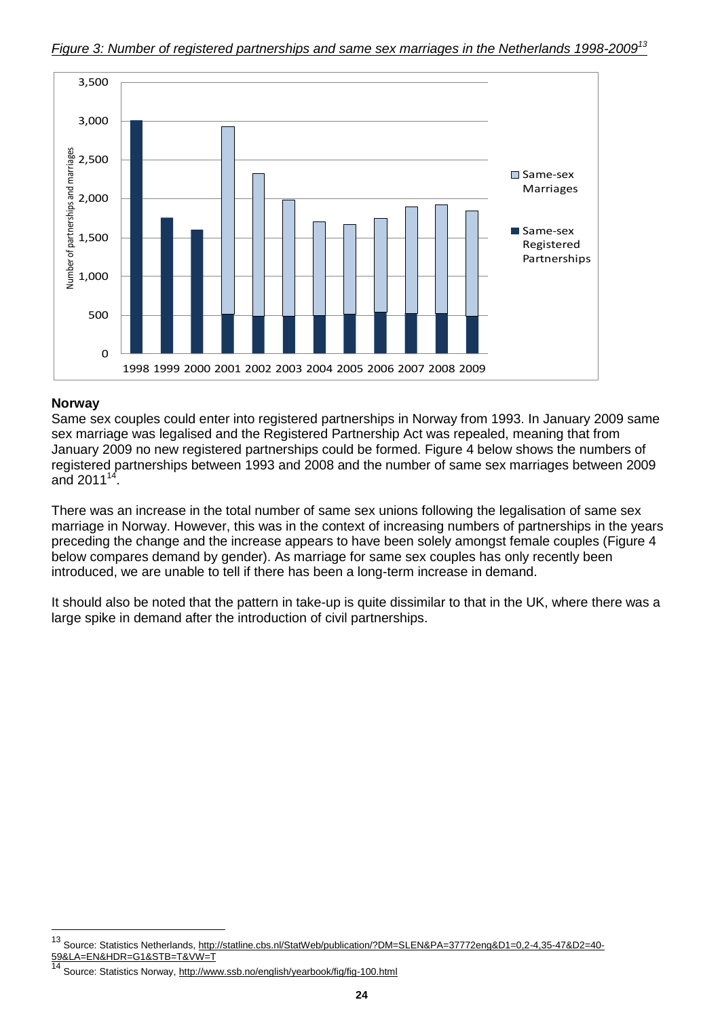

## **Norway**

l

Same sex couples could enter into registered partnerships in Norway from 1993. In January 2009 same sex marriage was legalised and the Registered Partnership Act was repealed, meaning that from January 2009 no new registered partnerships could be formed. Figure 4 below shows the numbers of registered partnerships between 1993 and 2008 and the number of same sex marriages between 2009 and 2011 $14$ .

There was an increase in the total number of same sex unions following the legalisation of same sex marriage in Norway. However, this was in the context of increasing numbers of partnerships in the years preceding the change and the increase appears to have been solely amongst female couples (Figure 4 below compares demand by gender). As marriage for same sex couples has only recently been introduced, we are unable to tell if there has been a long-term increase in demand.

It should also be noted that the pattern in take-up is quite dissimilar to that in the UK, where there was a large spike in demand after the introduction of civil partnerships.

<sup>13</sup> Source: Statistics Netherlands, [http://statline.cbs.nl/StatWeb/publication/?DM=SLEN&PA=37772eng&D1=0,2-4,35-47&D2=40-](http://statline.cbs.nl/StatWeb/publication/?DM=SLEN&PA=37772eng&D1=0,2-4,35-47&D2=40-59&LA=EN&HDR=G1&STB=T&VW=T) [59&LA=EN&HDR=G1&STB=T&VW=T](http://statline.cbs.nl/StatWeb/publication/?DM=SLEN&PA=37772eng&D1=0,2-4,35-47&D2=40-59&LA=EN&HDR=G1&STB=T&VW=T)

<sup>&</sup>lt;sup>14</sup> Source: Statistics Norway,<http://www.ssb.no/english/yearbook/fig/fig-100.html>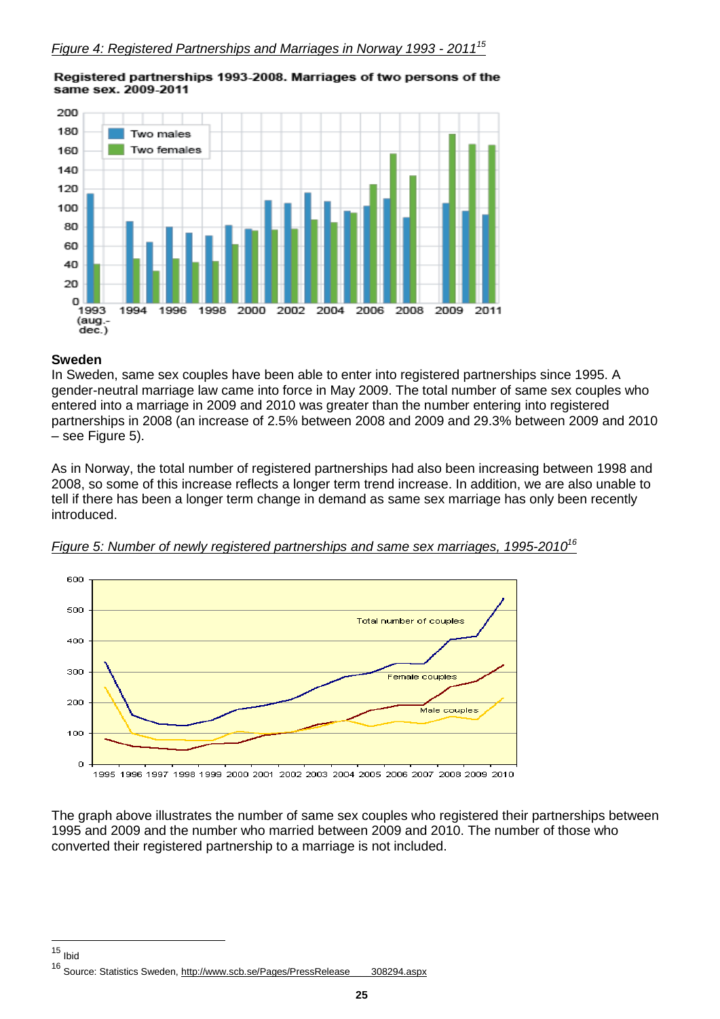

#### Registered partnerships 1993-2008. Marriages of two persons of the same sex. 2009-2011

#### **Sweden**

In Sweden, same sex couples have been able to enter into registered partnerships since 1995. A gender-neutral marriage law came into force in May 2009. The total number of same sex couples who entered into a marriage in 2009 and 2010 was greater than the number entering into registered partnerships in 2008 (an increase of 2.5% between 2008 and 2009 and 29.3% between 2009 and 2010 – see Figure 5).

As in Norway, the total number of registered partnerships had also been increasing between 1998 and 2008, so some of this increase reflects a longer term trend increase. In addition, we are also unable to tell if there has been a longer term change in demand as same sex marriage has only been recently introduced.





The graph above illustrates the number of same sex couples who registered their partnerships between 1995 and 2009 and the number who married between 2009 and 2010. The number of those who converted their registered partnership to a marriage is not included.

 $\overline{a}$ <sup>15</sup> Ibid

<sup>16</sup> Source: Statistics Sweden, [http://www.scb.se/Pages/PressRelease\\_\\_\\_\\_308294.aspx](http://www.scb.se/Pages/PressRelease____308294.aspx)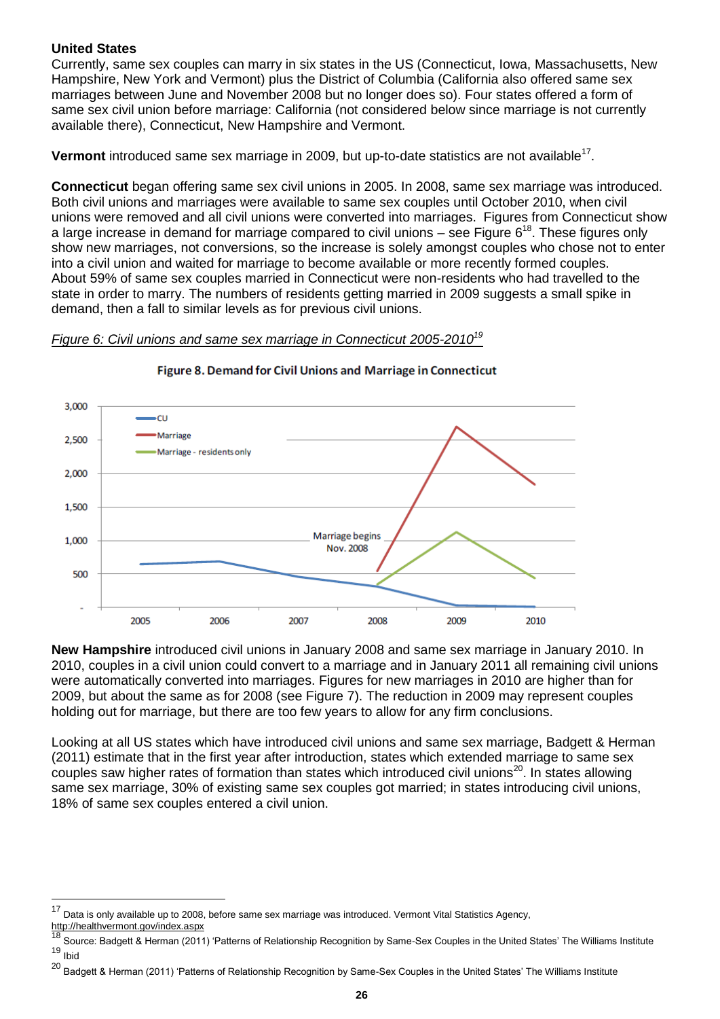## **United States**

Currently, same sex couples can marry in six states in the US (Connecticut, Iowa, Massachusetts, New Hampshire, New York and Vermont) plus the District of Columbia (California also offered same sex marriages between June and November 2008 but no longer does so). Four states offered a form of same sex civil union before marriage: California (not considered below since marriage is not currently available there), Connecticut, New Hampshire and Vermont.

Vermont introduced same sex marriage in 2009, but up-to-date statistics are not available<sup>17</sup>.

**Connecticut** began offering same sex civil unions in 2005. In 2008, same sex marriage was introduced. Both civil unions and marriages were available to same sex couples until October 2010, when civil unions were removed and all civil unions were converted into marriages. Figures from Connecticut show a large increase in demand for marriage compared to civil unions – see Figure  $6^{18}$ . These figures only show new marriages, not conversions, so the increase is solely amongst couples who chose not to enter into a civil union and waited for marriage to become available or more recently formed couples. About 59% of same sex couples married in Connecticut were non-residents who had travelled to the state in order to marry. The numbers of residents getting married in 2009 suggests a small spike in demand, then a fall to similar levels as for previous civil unions.

#### *Figure 6: Civil unions and same sex marriage in Connecticut 2005-2010<sup>19</sup>*



#### Figure 8. Demand for Civil Unions and Marriage in Connecticut

**New Hampshire** introduced civil unions in January 2008 and same sex marriage in January 2010. In 2010, couples in a civil union could convert to a marriage and in January 2011 all remaining civil unions were automatically converted into marriages. Figures for new marriages in 2010 are higher than for 2009, but about the same as for 2008 (see Figure 7). The reduction in 2009 may represent couples holding out for marriage, but there are too few years to allow for any firm conclusions.

Looking at all US states which have introduced civil unions and same sex marriage, Badgett & Herman (2011) estimate that in the first year after introduction, states which extended marriage to same sex couples saw higher rates of formation than states which introduced civil unions<sup>20</sup>. In states allowing same sex marriage, 30% of existing same sex couples got married; in states introducing civil unions, 18% of same sex couples entered a civil union.

l

<sup>17</sup> Data is only available up to 2008, before same sex marriage was introduced. Vermont Vital Statistics Agency,

<http://healthvermont.gov/index.aspx>

<sup>18</sup> Source: Badgett & Herman (2011) "Patterns of Relationship Recognition by Same-Sex Couples in the United States" The Williams Institute <sup>19</sup> Ibid

<sup>&</sup>lt;sup>20</sup> Badgett & Herman (2011) 'Patterns of Relationship Recognition by Same-Sex Couples in the United States' The Williams Institute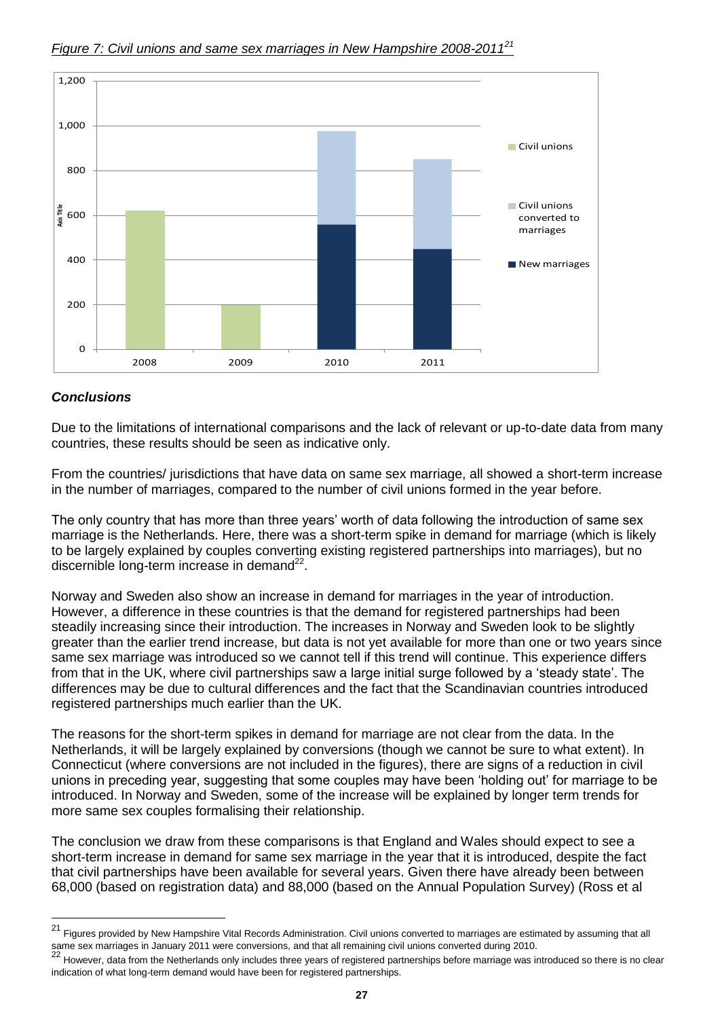

#### *Figure 7: Civil unions and same sex marriages in New Hampshire 2008-2011<sup>21</sup>*

## *Conclusions*

Due to the limitations of international comparisons and the lack of relevant or up-to-date data from many countries, these results should be seen as indicative only.

From the countries/ jurisdictions that have data on same sex marriage, all showed a short-term increase in the number of marriages, compared to the number of civil unions formed in the year before.

The only country that has more than three years' worth of data following the introduction of same sex marriage is the Netherlands. Here, there was a short-term spike in demand for marriage (which is likely to be largely explained by couples converting existing registered partnerships into marriages), but no discernible long-term increase in demand<sup>22</sup>.

Norway and Sweden also show an increase in demand for marriages in the year of introduction. However, a difference in these countries is that the demand for registered partnerships had been steadily increasing since their introduction. The increases in Norway and Sweden look to be slightly greater than the earlier trend increase, but data is not yet available for more than one or two years since same sex marriage was introduced so we cannot tell if this trend will continue. This experience differs from that in the UK, where civil partnerships saw a large initial surge followed by a "steady state". The differences may be due to cultural differences and the fact that the Scandinavian countries introduced registered partnerships much earlier than the UK.

The reasons for the short-term spikes in demand for marriage are not clear from the data. In the Netherlands, it will be largely explained by conversions (though we cannot be sure to what extent). In Connecticut (where conversions are not included in the figures), there are signs of a reduction in civil unions in preceding year, suggesting that some couples may have been "holding out" for marriage to be introduced. In Norway and Sweden, some of the increase will be explained by longer term trends for more same sex couples formalising their relationship.

The conclusion we draw from these comparisons is that England and Wales should expect to see a short-term increase in demand for same sex marriage in the year that it is introduced, despite the fact that civil partnerships have been available for several years. Given there have already been between 68,000 (based on registration data) and 88,000 (based on the Annual Population Survey) (Ross et al

 $21$ <sup>21</sup> Figures provided by New Hampshire Vital Records Administration. Civil unions converted to marriages are estimated by assuming that all same sex marriages in January 2011 were conversions, and that all remaining civil unions converted during 2010.

<sup>22</sup> However, data from the Netherlands only includes three years of registered partnerships before marriage was introduced so there is no clear indication of what long-term demand would have been for registered partnerships.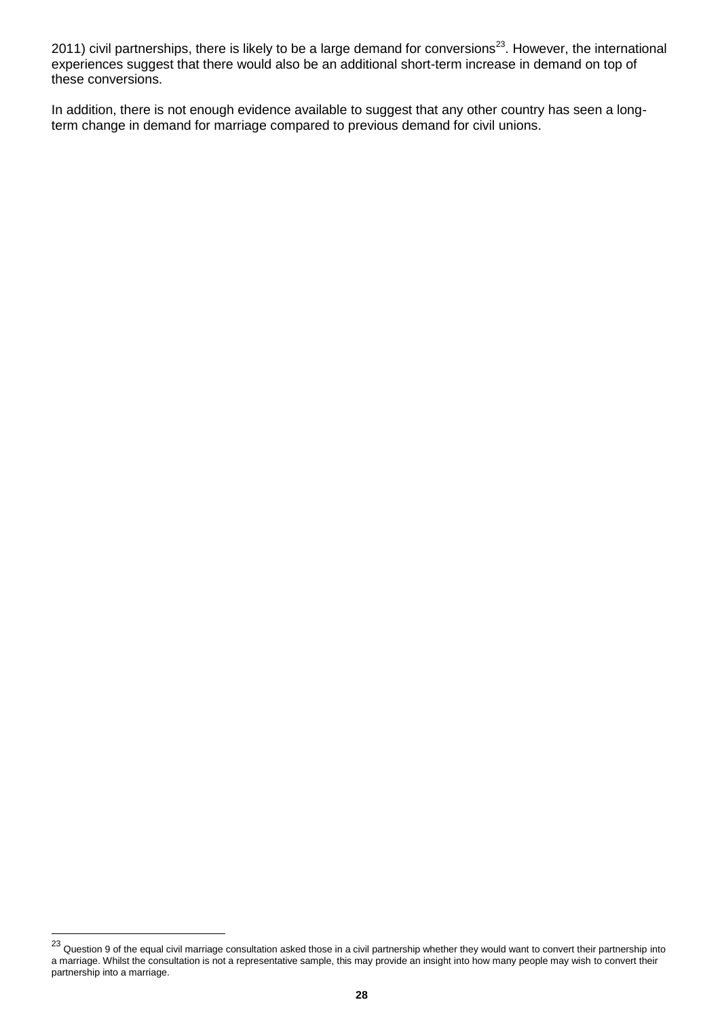2011) civil partnerships, there is likely to be a large demand for conversions<sup>23</sup>. However, the international experiences suggest that there would also be an additional short-term increase in demand on top of these conversions.

In addition, there is not enough evidence available to suggest that any other country has seen a longterm change in demand for marriage compared to previous demand for civil unions.

l

 $^{23}$  Question 9 of the equal civil marriage consultation asked those in a civil partnership whether they would want to convert their partnership into a marriage. Whilst the consultation is not a representative sample, this may provide an insight into how many people may wish to convert their partnership into a marriage.